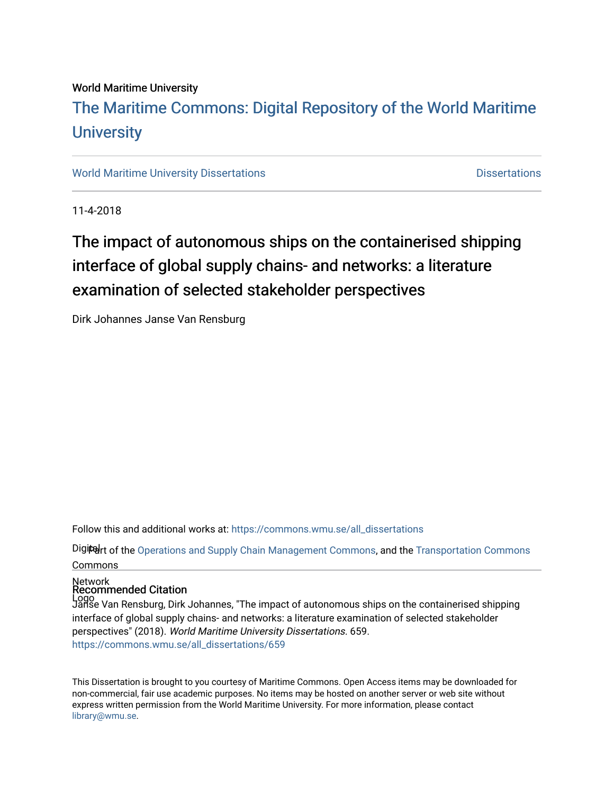## World Maritime University [The Maritime Commons: Digital Repository of the World Maritime](https://commons.wmu.se/)  **University**

[World Maritime University Dissertations](https://commons.wmu.se/all_dissertations) **Distributions** [Dissertations](https://commons.wmu.se/dissertations) Dissertations

11-4-2018

# The impact of autonomous ships on the containerised shipping interface of global supply chains- and networks: a literature examination of selected stakeholder perspectives

Dirk Johannes Janse Van Rensburg

Follow this and additional works at: [https://commons.wmu.se/all\\_dissertations](https://commons.wmu.se/all_dissertations?utm_source=commons.wmu.se%2Fall_dissertations%2F659&utm_medium=PDF&utm_campaign=PDFCoverPages) 

Digitelrt of the [Operations and Supply Chain Management Commons,](http://network.bepress.com/hgg/discipline/1229?utm_source=commons.wmu.se%2Fall_dissertations%2F659&utm_medium=PDF&utm_campaign=PDFCoverPages) and the Transportation Commons Commons

#### Network Recommended Citation

Logo Janse Van Rensburg, Dirk Johannes, "The impact of autonomous ships on the containerised shipping interface of global supply chains- and networks: a literature examination of selected stakeholder perspectives" (2018). World Maritime University Dissertations. 659. [https://commons.wmu.se/all\\_dissertations/659](https://commons.wmu.se/all_dissertations/659?utm_source=commons.wmu.se%2Fall_dissertations%2F659&utm_medium=PDF&utm_campaign=PDFCoverPages) 

This Dissertation is brought to you courtesy of Maritime Commons. Open Access items may be downloaded for non-commercial, fair use academic purposes. No items may be hosted on another server or web site without express written permission from the World Maritime University. For more information, please contact [library@wmu.se](mailto:library@wmu.edu).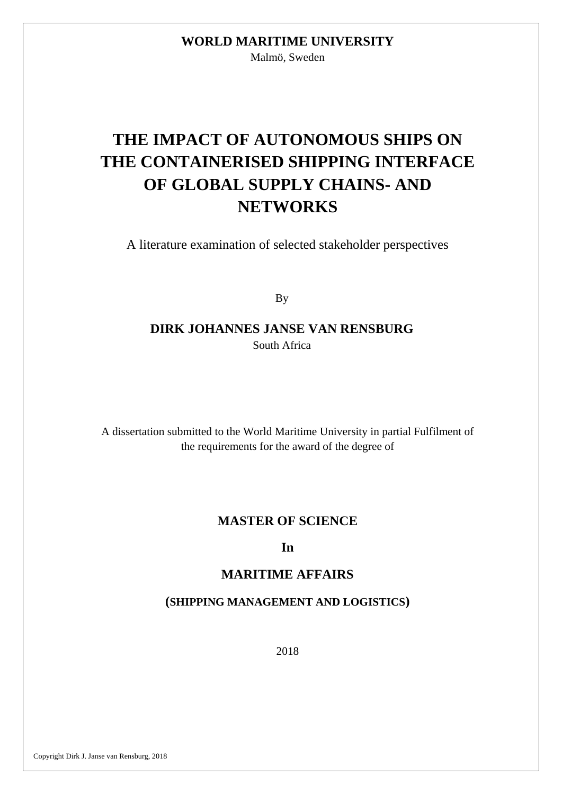## **WORLD MARITIME UNIVERSITY**

Malmö, Sweden

# **THE IMPACT OF AUTONOMOUS SHIPS ON THE CONTAINERISED SHIPPING INTERFACE OF GLOBAL SUPPLY CHAINS- AND NETWORKS**

A literature examination of selected stakeholder perspectives

By

#### **DIRK JOHANNES JANSE VAN RENSBURG** South Africa

A dissertation submitted to the World Maritime University in partial Fulfilment of the requirements for the award of the degree of

#### **MASTER OF SCIENCE**

#### **In**

#### **MARITIME AFFAIRS**

#### **(SHIPPING MANAGEMENT AND LOGISTICS)**

2018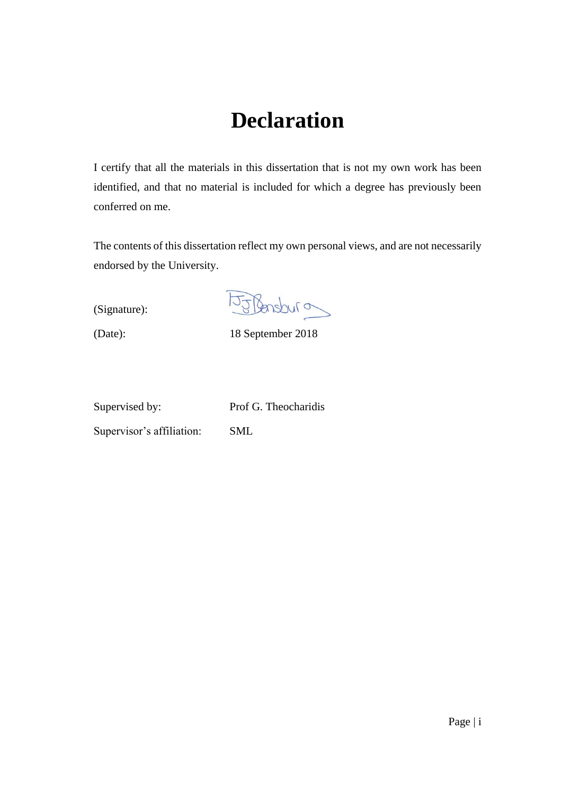# **Declaration**

<span id="page-2-0"></span>I certify that all the materials in this dissertation that is not my own work has been identified, and that no material is included for which a degree has previously been conferred on me.

The contents of this dissertation reflect my own personal views, and are not necessarily endorsed by the University.

(Signature):

Oudenstru

(Date): 18 September 2018

Supervised by: Prof G. Theocharidis

Supervisor's affiliation: SML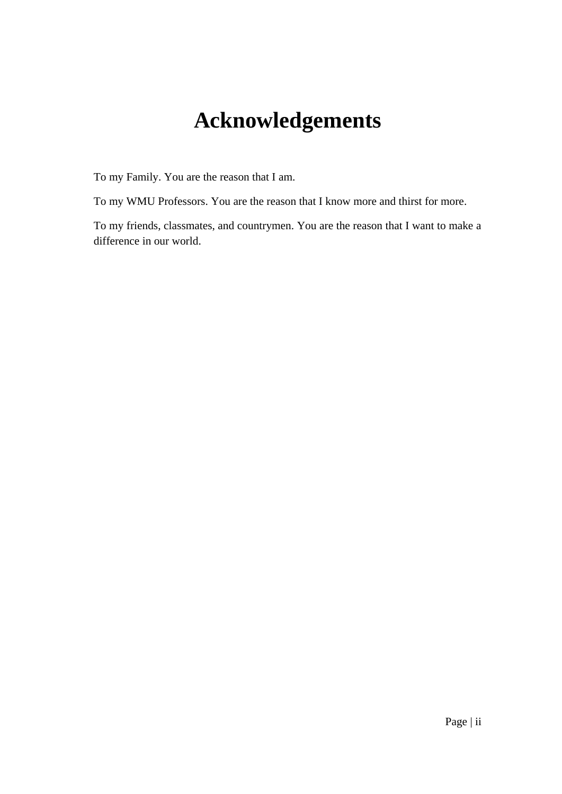# **Acknowledgements**

<span id="page-3-0"></span>To my Family. You are the reason that I am.

To my WMU Professors. You are the reason that I know more and thirst for more.

To my friends, classmates, and countrymen. You are the reason that I want to make a difference in our world.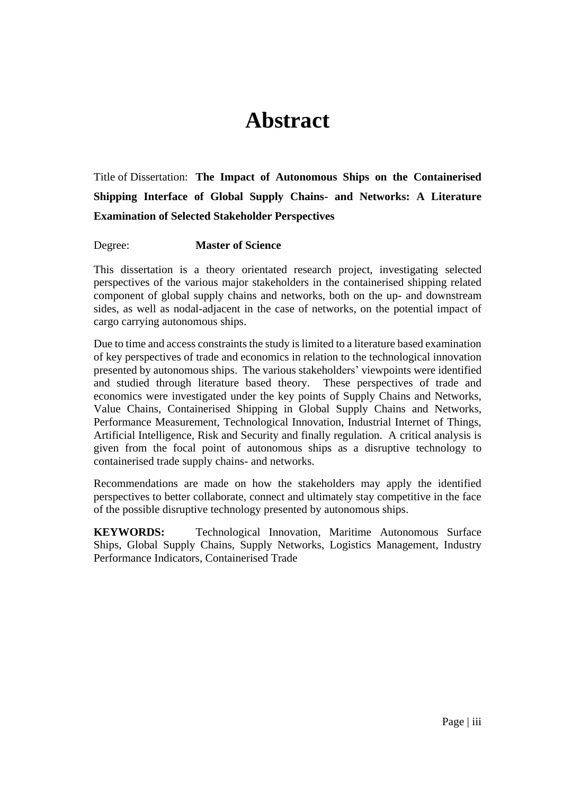# **Abstract**

<span id="page-4-0"></span>Title of Dissertation: **The Impact of Autonomous Ships on the Containerised Shipping Interface of Global Supply Chains- and Networks: A Literature Examination of Selected Stakeholder Perspectives**

Degree: **Master of Science**

This dissertation is a theory orientated research project, investigating selected perspectives of the various major stakeholders in the containerised shipping related component of global supply chains and networks, both on the up- and downstream sides, as well as nodal-adjacent in the case of networks, on the potential impact of cargo carrying autonomous ships.

Due to time and access constraints the study is limited to a literature based examination of key perspectives of trade and economics in relation to the technological innovation presented by autonomous ships. The various stakeholders' viewpoints were identified and studied through literature based theory. These perspectives of trade and economics were investigated under the key points of Supply Chains and Networks, Value Chains, Containerised Shipping in Global Supply Chains and Networks, Performance Measurement, Technological Innovation, Industrial Internet of Things, Artificial Intelligence, Risk and Security and finally regulation. A critical analysis is given from the focal point of autonomous ships as a disruptive technology to containerised trade supply chains- and networks.

Recommendations are made on how the stakeholders may apply the identified perspectives to better collaborate, connect and ultimately stay competitive in the face of the possible disruptive technology presented by autonomous ships.

**KEYWORDS:** Technological Innovation, Maritime Autonomous Surface Ships, Global Supply Chains, Supply Networks, Logistics Management, Industry Performance Indicators, Containerised Trade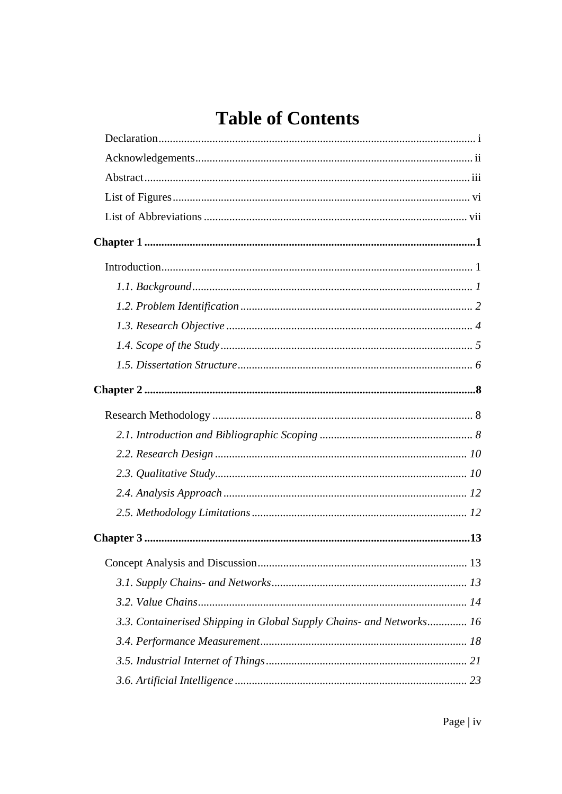# **Table of Contents**

| 3.3. Containerised Shipping in Global Supply Chains- and Networks 16 |
|----------------------------------------------------------------------|
|                                                                      |
|                                                                      |
|                                                                      |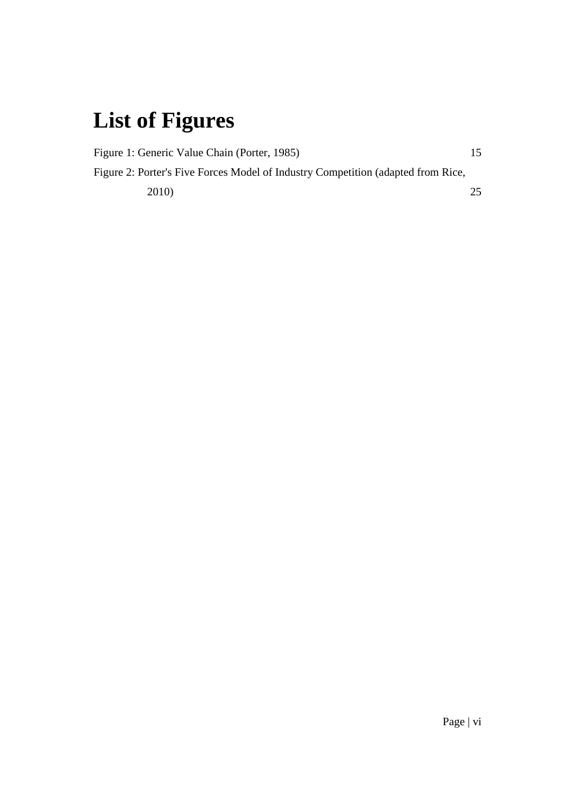# <span id="page-7-0"></span>**List of Figures**

| Figure 1: Generic Value Chain (Porter, 1985)                                     | 15 |
|----------------------------------------------------------------------------------|----|
| Figure 2: Porter's Five Forces Model of Industry Competition (adapted from Rice, |    |
| <b>2010</b>                                                                      | 25 |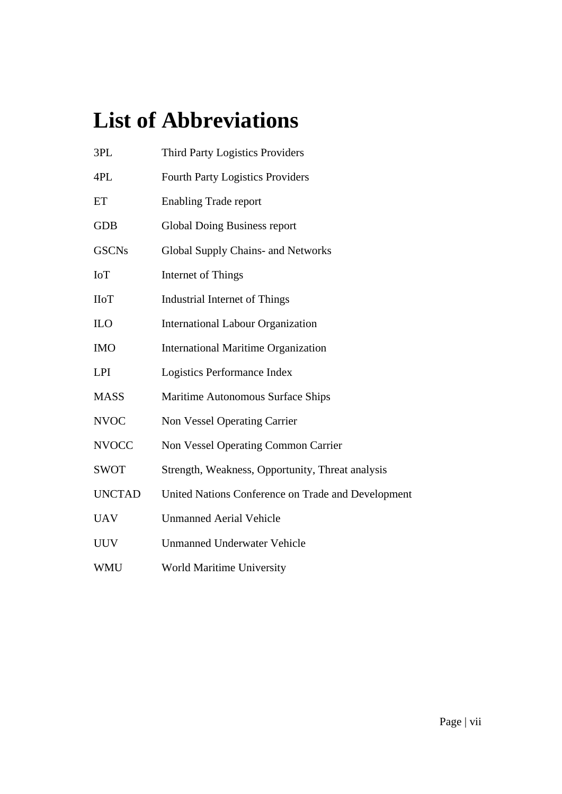# <span id="page-8-0"></span>**List of Abbreviations**

| 3PL           | <b>Third Party Logistics Providers</b>             |
|---------------|----------------------------------------------------|
| 4PL           | <b>Fourth Party Logistics Providers</b>            |
| ET            | <b>Enabling Trade report</b>                       |
| <b>GDB</b>    | Global Doing Business report                       |
| <b>GSCNs</b>  | <b>Global Supply Chains- and Networks</b>          |
| <b>IoT</b>    | Internet of Things                                 |
| <b>IIoT</b>   | <b>Industrial Internet of Things</b>               |
| <b>ILO</b>    | <b>International Labour Organization</b>           |
| <b>IMO</b>    | <b>International Maritime Organization</b>         |
| <b>LPI</b>    | Logistics Performance Index                        |
| <b>MASS</b>   | Maritime Autonomous Surface Ships                  |
| <b>NVOC</b>   | <b>Non Vessel Operating Carrier</b>                |
| <b>NVOCC</b>  | Non Vessel Operating Common Carrier                |
| <b>SWOT</b>   | Strength, Weakness, Opportunity, Threat analysis   |
| <b>UNCTAD</b> | United Nations Conference on Trade and Development |
| <b>UAV</b>    | <b>Unmanned Aerial Vehicle</b>                     |
| <b>UUV</b>    | <b>Unmanned Underwater Vehicle</b>                 |
| <b>WMU</b>    | <b>World Maritime University</b>                   |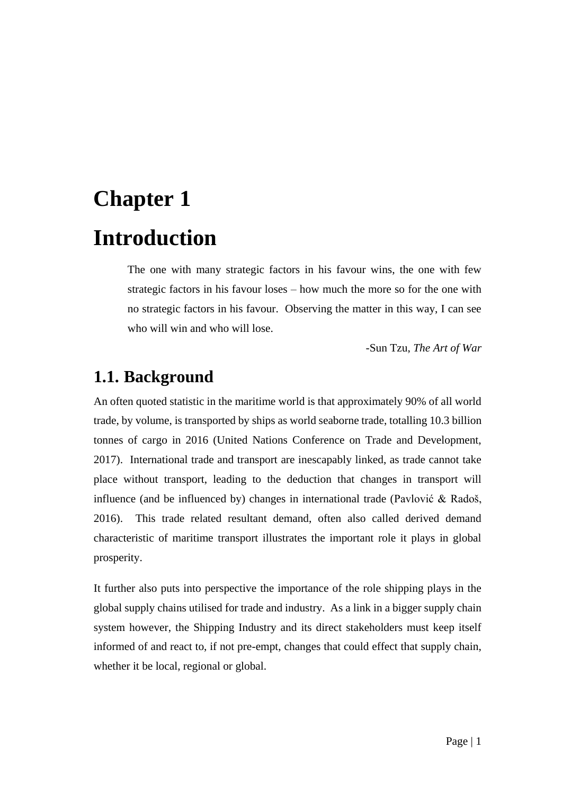# <span id="page-9-1"></span><span id="page-9-0"></span>**Chapter 1 Introduction**

The one with many strategic factors in his favour wins, the one with few strategic factors in his favour loses – how much the more so for the one with no strategic factors in his favour. Observing the matter in this way, I can see who will win and who will lose.

-Sun Tzu, *The Art of War*

#### <span id="page-9-2"></span>**1.1. Background**

An often quoted statistic in the maritime world is that approximately 90% of all world trade, by volume, is transported by ships as world seaborne trade, totalling 10.3 billion tonnes of cargo in 2016 (United Nations Conference on Trade and Development, 2017). International trade and transport are inescapably linked, as trade cannot take place without transport, leading to the deduction that changes in transport will influence (and be influenced by) changes in international trade (Pavlović & Radoš, 2016). This trade related resultant demand, often also called derived demand characteristic of maritime transport illustrates the important role it plays in global prosperity.

It further also puts into perspective the importance of the role shipping plays in the global supply chains utilised for trade and industry. As a link in a bigger supply chain system however, the Shipping Industry and its direct stakeholders must keep itself informed of and react to, if not pre-empt, changes that could effect that supply chain, whether it be local, regional or global.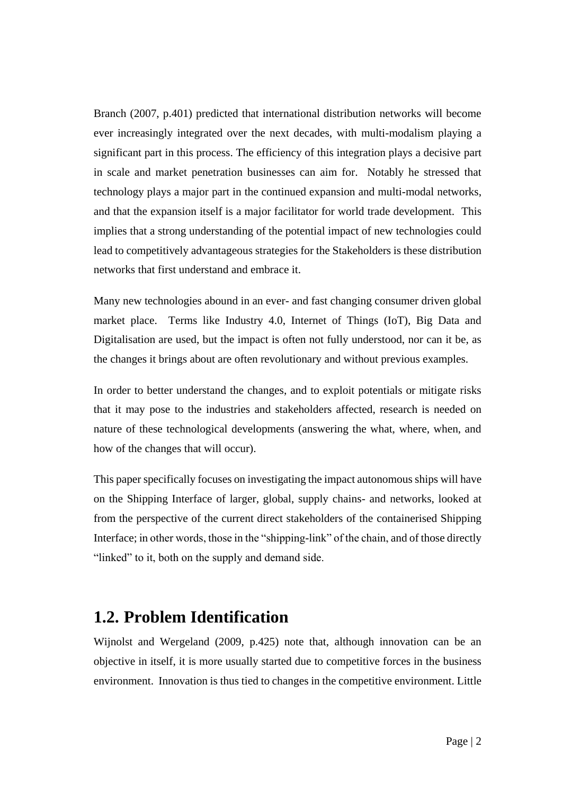Branch (2007, p.401) predicted that international distribution networks will become ever increasingly integrated over the next decades, with multi-modalism playing a significant part in this process. The efficiency of this integration plays a decisive part in scale and market penetration businesses can aim for. Notably he stressed that technology plays a major part in the continued expansion and multi-modal networks, and that the expansion itself is a major facilitator for world trade development. This implies that a strong understanding of the potential impact of new technologies could lead to competitively advantageous strategies for the Stakeholders is these distribution networks that first understand and embrace it.

Many new technologies abound in an ever- and fast changing consumer driven global market place. Terms like Industry 4.0, Internet of Things (IoT), Big Data and Digitalisation are used, but the impact is often not fully understood, nor can it be, as the changes it brings about are often revolutionary and without previous examples.

In order to better understand the changes, and to exploit potentials or mitigate risks that it may pose to the industries and stakeholders affected, research is needed on nature of these technological developments (answering the what, where, when, and how of the changes that will occur).

This paper specifically focuses on investigating the impact autonomous ships will have on the Shipping Interface of larger, global, supply chains- and networks, looked at from the perspective of the current direct stakeholders of the containerised Shipping Interface; in other words, those in the "shipping-link" of the chain, and of those directly "linked" to it, both on the supply and demand side.

#### <span id="page-10-0"></span>**1.2. Problem Identification**

Wijnolst and Wergeland (2009, p.425) note that, although innovation can be an objective in itself, it is more usually started due to competitive forces in the business environment. Innovation is thus tied to changes in the competitive environment. Little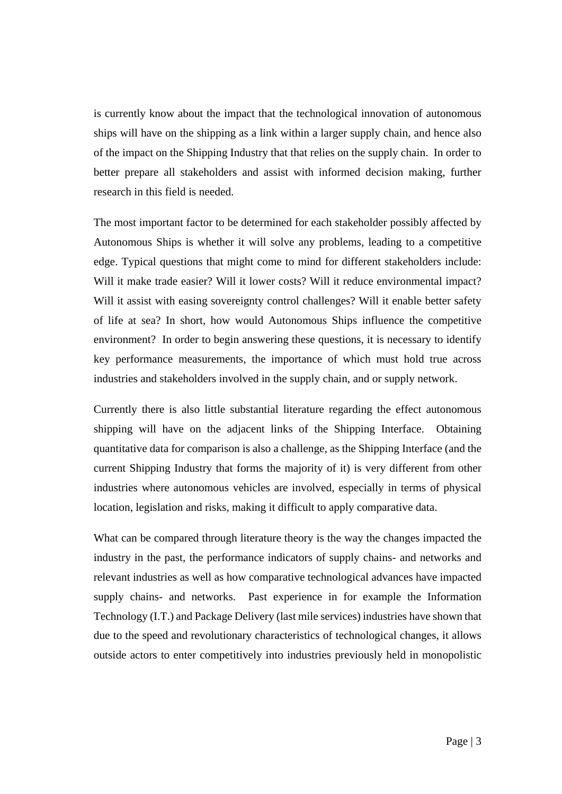is currently know about the impact that the technological innovation of autonomous ships will have on the shipping as a link within a larger supply chain, and hence also of the impact on the Shipping Industry that that relies on the supply chain. In order to better prepare all stakeholders and assist with informed decision making, further research in this field is needed.

The most important factor to be determined for each stakeholder possibly affected by Autonomous Ships is whether it will solve any problems, leading to a competitive edge. Typical questions that might come to mind for different stakeholders include: Will it make trade easier? Will it lower costs? Will it reduce environmental impact? Will it assist with easing sovereignty control challenges? Will it enable better safety of life at sea? In short, how would Autonomous Ships influence the competitive environment? In order to begin answering these questions, it is necessary to identify key performance measurements, the importance of which must hold true across industries and stakeholders involved in the supply chain, and or supply network.

Currently there is also little substantial literature regarding the effect autonomous shipping will have on the adjacent links of the Shipping Interface. Obtaining quantitative data for comparison is also a challenge, as the Shipping Interface (and the current Shipping Industry that forms the majority of it) is very different from other industries where autonomous vehicles are involved, especially in terms of physical location, legislation and risks, making it difficult to apply comparative data.

What can be compared through literature theory is the way the changes impacted the industry in the past, the performance indicators of supply chains- and networks and relevant industries as well as how comparative technological advances have impacted supply chains- and networks. Past experience in for example the Information Technology (I.T.) and Package Delivery (last mile services) industries have shown that due to the speed and revolutionary characteristics of technological changes, it allows outside actors to enter competitively into industries previously held in monopolistic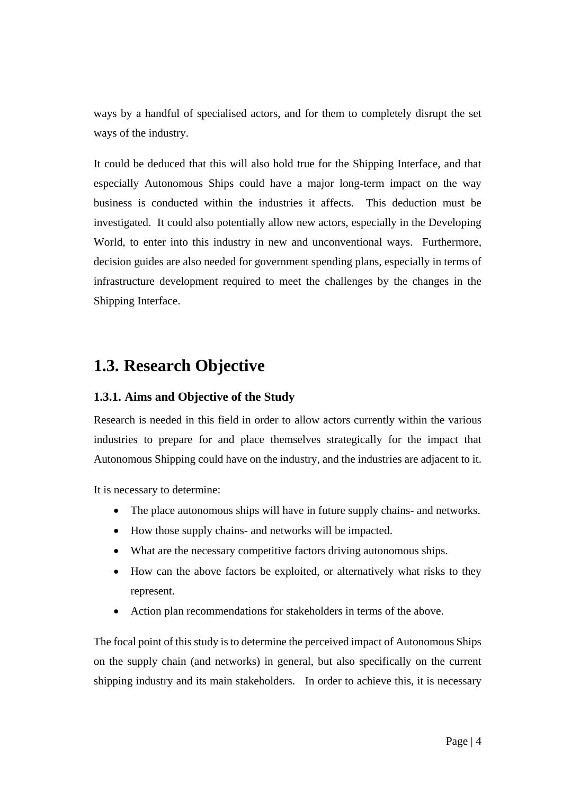ways by a handful of specialised actors, and for them to completely disrupt the set ways of the industry.

It could be deduced that this will also hold true for the Shipping Interface, and that especially Autonomous Ships could have a major long-term impact on the way business is conducted within the industries it affects. This deduction must be investigated. It could also potentially allow new actors, especially in the Developing World, to enter into this industry in new and unconventional ways. Furthermore, decision guides are also needed for government spending plans, especially in terms of infrastructure development required to meet the challenges by the changes in the Shipping Interface.

#### <span id="page-12-0"></span>**1.3. Research Objective**

#### **1.3.1. Aims and Objective of the Study**

Research is needed in this field in order to allow actors currently within the various industries to prepare for and place themselves strategically for the impact that Autonomous Shipping could have on the industry, and the industries are adjacent to it.

It is necessary to determine:

- The place autonomous ships will have in future supply chains- and networks.
- How those supply chains- and networks will be impacted.
- What are the necessary competitive factors driving autonomous ships.
- How can the above factors be exploited, or alternatively what risks to they represent.
- Action plan recommendations for stakeholders in terms of the above.

The focal point of this study is to determine the perceived impact of Autonomous Ships on the supply chain (and networks) in general, but also specifically on the current shipping industry and its main stakeholders. In order to achieve this, it is necessary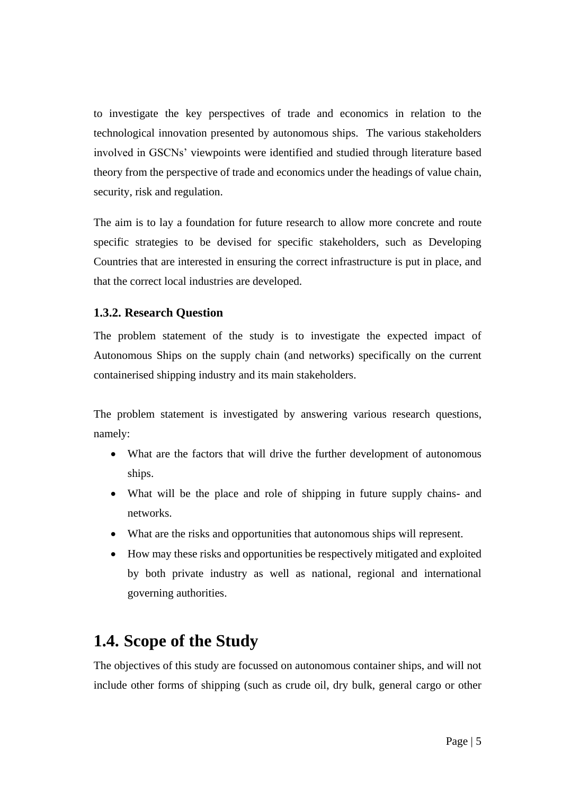to investigate the key perspectives of trade and economics in relation to the technological innovation presented by autonomous ships. The various stakeholders involved in GSCNs' viewpoints were identified and studied through literature based theory from the perspective of trade and economics under the headings of value chain, security, risk and regulation.

The aim is to lay a foundation for future research to allow more concrete and route specific strategies to be devised for specific stakeholders, such as Developing Countries that are interested in ensuring the correct infrastructure is put in place, and that the correct local industries are developed.

#### **1.3.2. Research Question**

The problem statement of the study is to investigate the expected impact of Autonomous Ships on the supply chain (and networks) specifically on the current containerised shipping industry and its main stakeholders.

The problem statement is investigated by answering various research questions, namely:

- What are the factors that will drive the further development of autonomous ships.
- What will be the place and role of shipping in future supply chains- and networks.
- What are the risks and opportunities that autonomous ships will represent.
- How may these risks and opportunities be respectively mitigated and exploited by both private industry as well as national, regional and international governing authorities.

## <span id="page-13-0"></span>**1.4. Scope of the Study**

The objectives of this study are focussed on autonomous container ships, and will not include other forms of shipping (such as crude oil, dry bulk, general cargo or other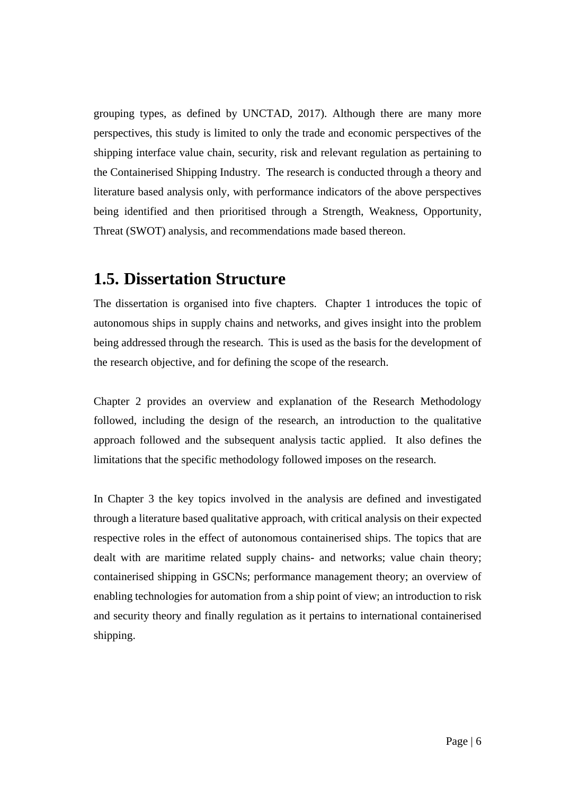grouping types, as defined by UNCTAD, 2017). Although there are many more perspectives, this study is limited to only the trade and economic perspectives of the shipping interface value chain, security, risk and relevant regulation as pertaining to the Containerised Shipping Industry. The research is conducted through a theory and literature based analysis only, with performance indicators of the above perspectives being identified and then prioritised through a Strength, Weakness, Opportunity, Threat (SWOT) analysis, and recommendations made based thereon.

#### <span id="page-14-0"></span>**1.5. Dissertation Structure**

The dissertation is organised into five chapters. Chapter 1 introduces the topic of autonomous ships in supply chains and networks, and gives insight into the problem being addressed through the research. This is used as the basis for the development of the research objective, and for defining the scope of the research.

Chapter 2 provides an overview and explanation of the Research Methodology followed, including the design of the research, an introduction to the qualitative approach followed and the subsequent analysis tactic applied. It also defines the limitations that the specific methodology followed imposes on the research.

In Chapter 3 the key topics involved in the analysis are defined and investigated through a literature based qualitative approach, with critical analysis on their expected respective roles in the effect of autonomous containerised ships. The topics that are dealt with are maritime related supply chains- and networks; value chain theory; containerised shipping in GSCNs; performance management theory; an overview of enabling technologies for automation from a ship point of view; an introduction to risk and security theory and finally regulation as it pertains to international containerised shipping.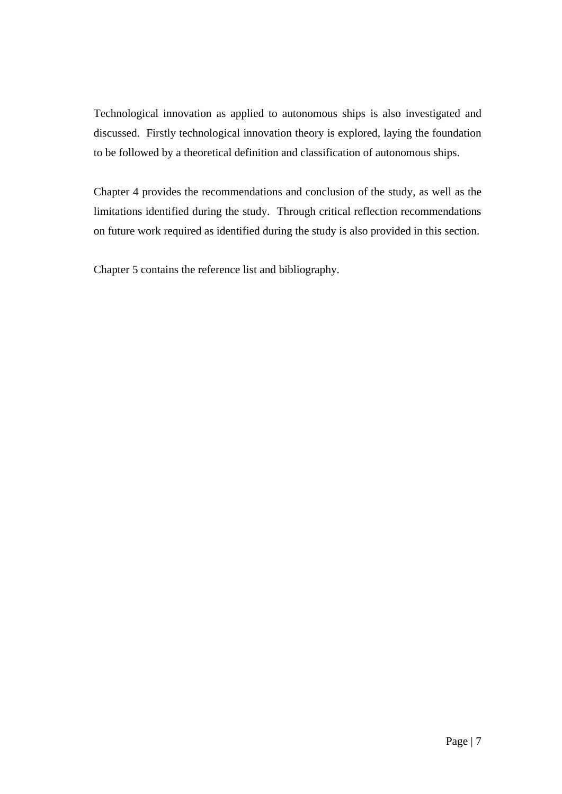Technological innovation as applied to autonomous ships is also investigated and discussed. Firstly technological innovation theory is explored, laying the foundation to be followed by a theoretical definition and classification of autonomous ships.

Chapter 4 provides the recommendations and conclusion of the study, as well as the limitations identified during the study. Through critical reflection recommendations on future work required as identified during the study is also provided in this section.

Chapter 5 contains the reference list and bibliography.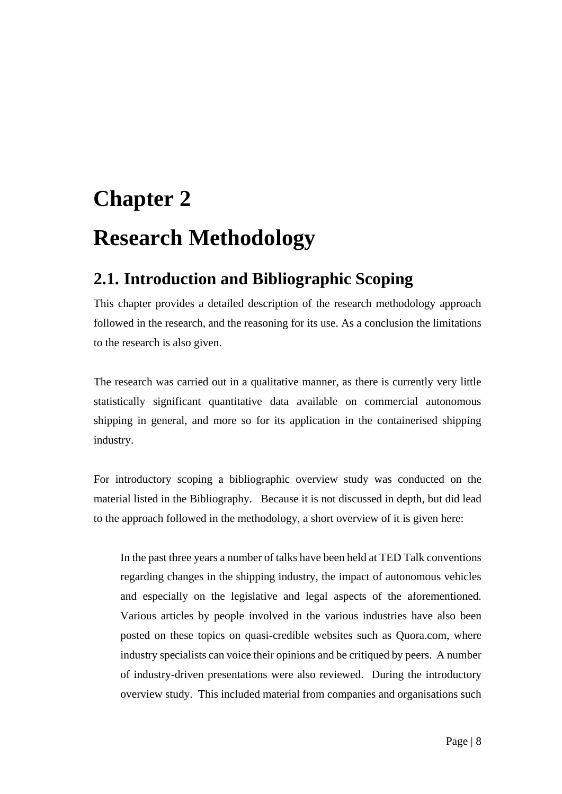# <span id="page-16-1"></span><span id="page-16-0"></span>**Chapter 2 Research Methodology**

## <span id="page-16-2"></span>**2.1. Introduction and Bibliographic Scoping**

This chapter provides a detailed description of the research methodology approach followed in the research, and the reasoning for its use. As a conclusion the limitations to the research is also given.

The research was carried out in a qualitative manner, as there is currently very little statistically significant quantitative data available on commercial autonomous shipping in general, and more so for its application in the containerised shipping industry.

For introductory scoping a bibliographic overview study was conducted on the material listed in the Bibliography. Because it is not discussed in depth, but did lead to the approach followed in the methodology, a short overview of it is given here:

In the past three years a number of talks have been held at TED Talk conventions regarding changes in the shipping industry, the impact of autonomous vehicles and especially on the legislative and legal aspects of the aforementioned. Various articles by people involved in the various industries have also been posted on these topics on quasi-credible websites such as Quora.com, where industry specialists can voice their opinions and be critiqued by peers. A number of industry-driven presentations were also reviewed. During the introductory overview study. This included material from companies and organisations such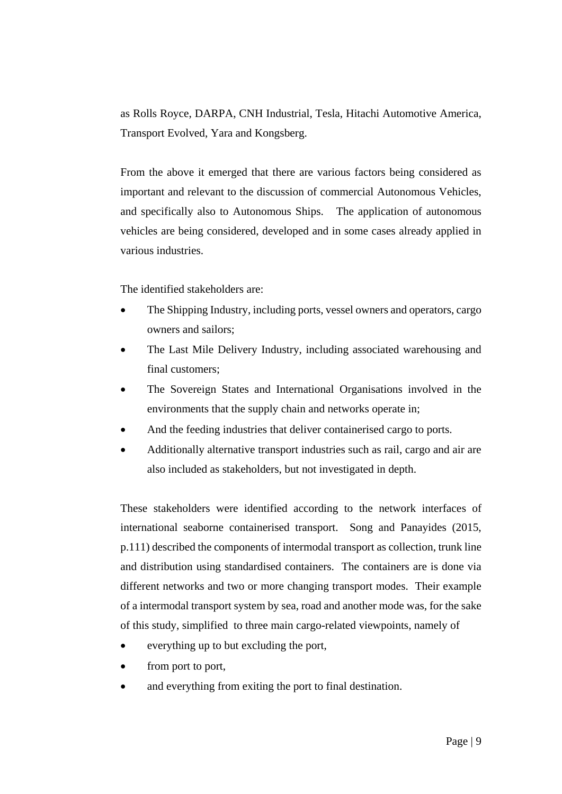as Rolls Royce, DARPA, CNH Industrial, Tesla, Hitachi Automotive America, Transport Evolved, Yara and Kongsberg.

From the above it emerged that there are various factors being considered as important and relevant to the discussion of commercial Autonomous Vehicles, and specifically also to Autonomous Ships. The application of autonomous vehicles are being considered, developed and in some cases already applied in various industries.

The identified stakeholders are:

- The Shipping Industry, including ports, vessel owners and operators, cargo owners and sailors;
- The Last Mile Delivery Industry, including associated warehousing and final customers;
- The Sovereign States and International Organisations involved in the environments that the supply chain and networks operate in;
- And the feeding industries that deliver containerised cargo to ports.
- Additionally alternative transport industries such as rail, cargo and air are also included as stakeholders, but not investigated in depth.

These stakeholders were identified according to the network interfaces of international seaborne containerised transport. Song and Panayides (2015, p.111) described the components of intermodal transport as collection, trunk line and distribution using standardised containers. The containers are is done via different networks and two or more changing transport modes. Their example of a intermodal transport system by sea, road and another mode was, for the sake of this study, simplified to three main cargo-related viewpoints, namely of

- everything up to but excluding the port,
- from port to port,
- and everything from exiting the port to final destination.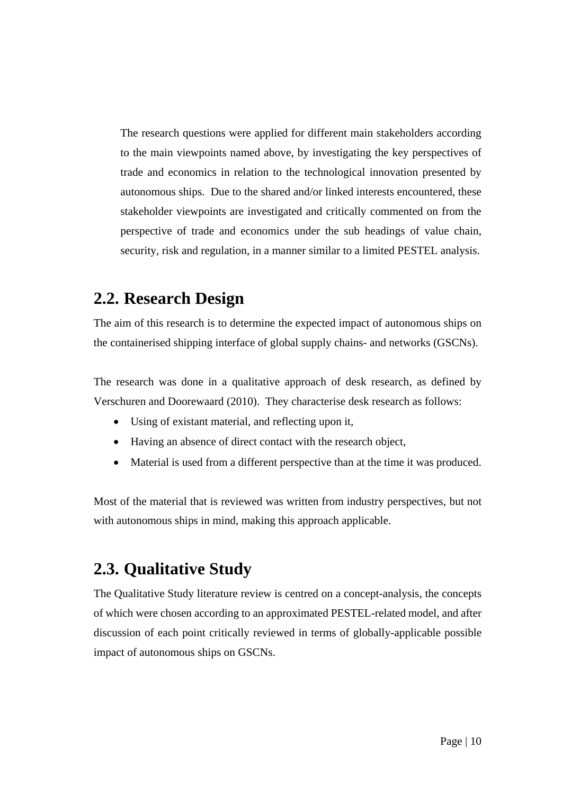The research questions were applied for different main stakeholders according to the main viewpoints named above, by investigating the key perspectives of trade and economics in relation to the technological innovation presented by autonomous ships. Due to the shared and/or linked interests encountered, these stakeholder viewpoints are investigated and critically commented on from the perspective of trade and economics under the sub headings of value chain, security, risk and regulation, in a manner similar to a limited PESTEL analysis.

#### <span id="page-18-0"></span>**2.2. Research Design**

The aim of this research is to determine the expected impact of autonomous ships on the containerised shipping interface of global supply chains- and networks (GSCNs).

The research was done in a qualitative approach of desk research, as defined by Verschuren and Doorewaard (2010). They characterise desk research as follows:

- Using of existant material, and reflecting upon it,
- Having an absence of direct contact with the research object,
- Material is used from a different perspective than at the time it was produced.

Most of the material that is reviewed was written from industry perspectives, but not with autonomous ships in mind, making this approach applicable.

## <span id="page-18-1"></span>**2.3. Qualitative Study**

The Qualitative Study literature review is centred on a concept-analysis, the concepts of which were chosen according to an approximated PESTEL-related model, and after discussion of each point critically reviewed in terms of globally-applicable possible impact of autonomous ships on GSCNs.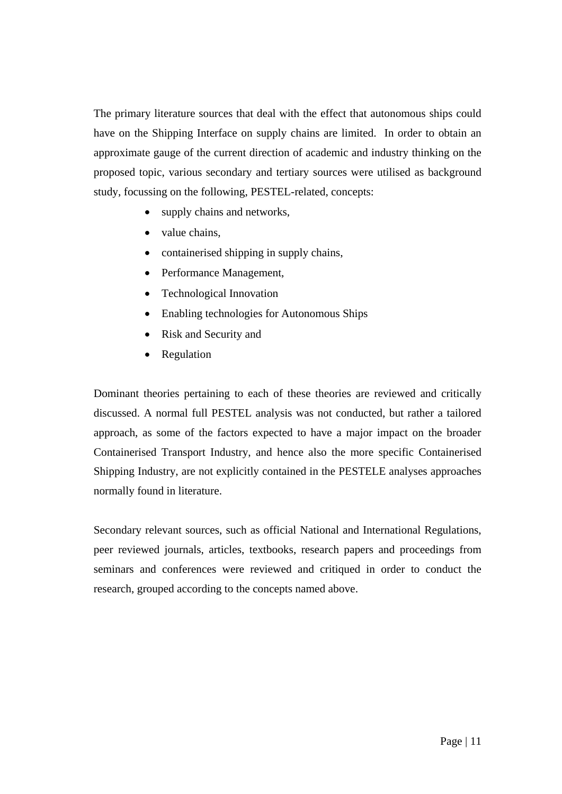The primary literature sources that deal with the effect that autonomous ships could have on the Shipping Interface on supply chains are limited. In order to obtain an approximate gauge of the current direction of academic and industry thinking on the proposed topic, various secondary and tertiary sources were utilised as background study, focussing on the following, PESTEL-related, concepts:

- supply chains and networks,
- value chains,
- containerised shipping in supply chains,
- Performance Management,
- Technological Innovation
- Enabling technologies for Autonomous Ships
- Risk and Security and
- Regulation

Dominant theories pertaining to each of these theories are reviewed and critically discussed. A normal full PESTEL analysis was not conducted, but rather a tailored approach, as some of the factors expected to have a major impact on the broader Containerised Transport Industry, and hence also the more specific Containerised Shipping Industry, are not explicitly contained in the PESTELE analyses approaches normally found in literature.

Secondary relevant sources, such as official National and International Regulations, peer reviewed journals, articles, textbooks, research papers and proceedings from seminars and conferences were reviewed and critiqued in order to conduct the research, grouped according to the concepts named above.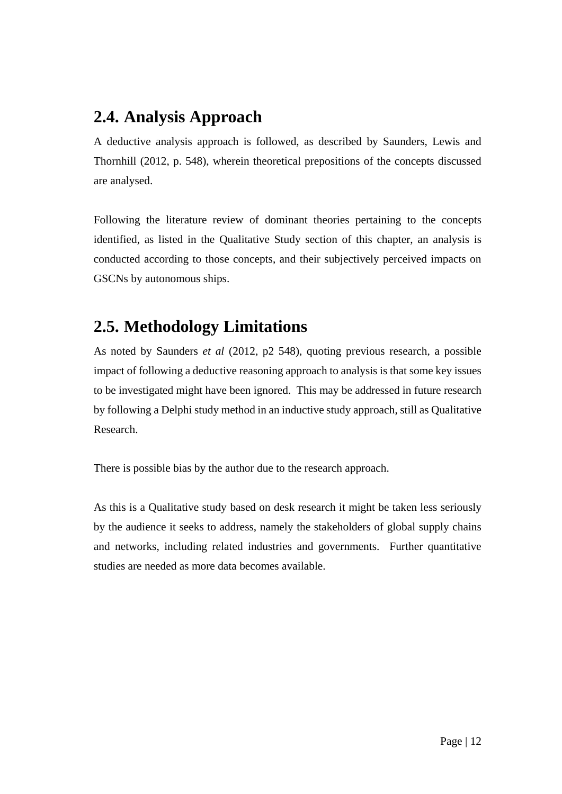### <span id="page-20-0"></span>**2.4. Analysis Approach**

A deductive analysis approach is followed, as described by Saunders, Lewis and Thornhill (2012, p. 548), wherein theoretical prepositions of the concepts discussed are analysed.

Following the literature review of dominant theories pertaining to the concepts identified, as listed in the Qualitative Study section of this chapter, an analysis is conducted according to those concepts, and their subjectively perceived impacts on GSCNs by autonomous ships.

## <span id="page-20-1"></span>**2.5. Methodology Limitations**

As noted by Saunders *et al* (2012, p2 548), quoting previous research, a possible impact of following a deductive reasoning approach to analysis is that some key issues to be investigated might have been ignored. This may be addressed in future research by following a Delphi study method in an inductive study approach, still as Qualitative Research.

There is possible bias by the author due to the research approach.

As this is a Qualitative study based on desk research it might be taken less seriously by the audience it seeks to address, namely the stakeholders of global supply chains and networks, including related industries and governments. Further quantitative studies are needed as more data becomes available.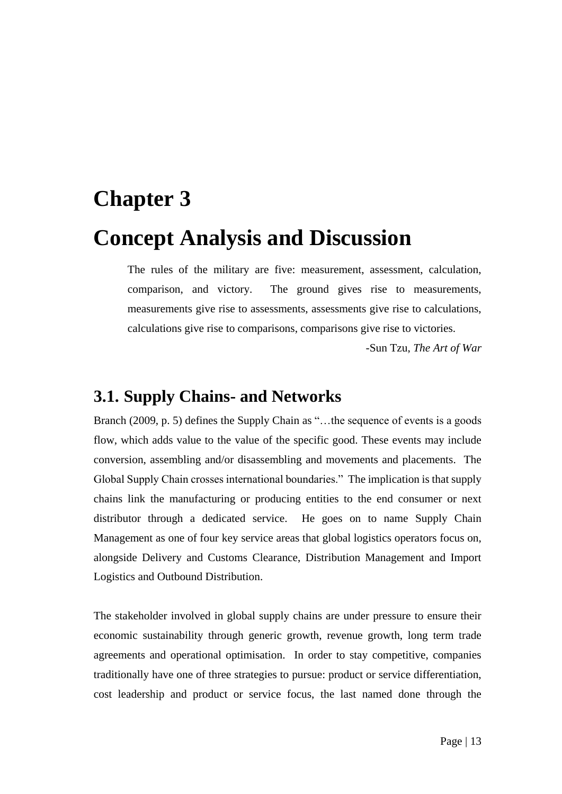# <span id="page-21-1"></span><span id="page-21-0"></span>**Chapter 3 Concept Analysis and Discussion**

The rules of the military are five: measurement, assessment, calculation, comparison, and victory. The ground gives rise to measurements, measurements give rise to assessments, assessments give rise to calculations, calculations give rise to comparisons, comparisons give rise to victories.

-Sun Tzu, *The Art of War*

#### <span id="page-21-2"></span>**3.1. Supply Chains- and Networks**

Branch (2009, p. 5) defines the Supply Chain as "...the sequence of events is a goods flow, which adds value to the value of the specific good. These events may include conversion, assembling and/or disassembling and movements and placements. The Global Supply Chain crosses international boundaries." The implication is that supply chains link the manufacturing or producing entities to the end consumer or next distributor through a dedicated service. He goes on to name Supply Chain Management as one of four key service areas that global logistics operators focus on, alongside Delivery and Customs Clearance, Distribution Management and Import Logistics and Outbound Distribution.

The stakeholder involved in global supply chains are under pressure to ensure their economic sustainability through generic growth, revenue growth, long term trade agreements and operational optimisation. In order to stay competitive, companies traditionally have one of three strategies to pursue: product or service differentiation, cost leadership and product or service focus, the last named done through the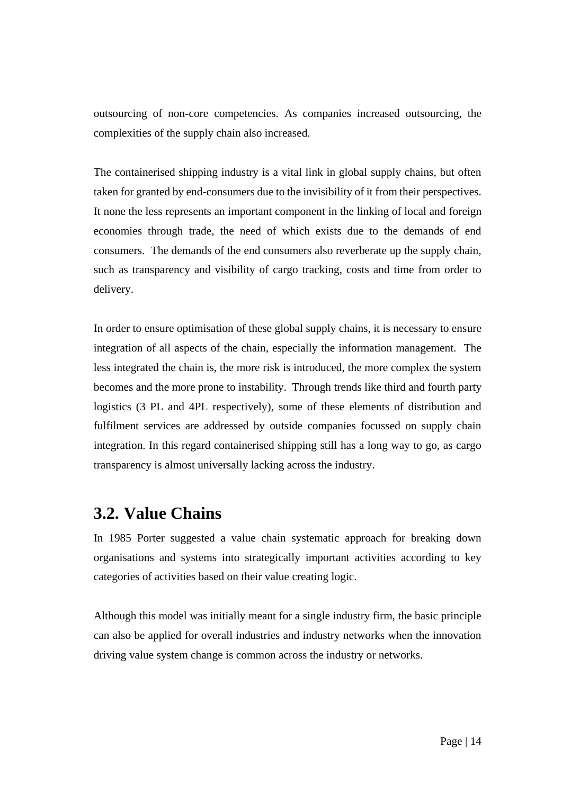outsourcing of non-core competencies. As companies increased outsourcing, the complexities of the supply chain also increased.

The containerised shipping industry is a vital link in global supply chains, but often taken for granted by end-consumers due to the invisibility of it from their perspectives. It none the less represents an important component in the linking of local and foreign economies through trade, the need of which exists due to the demands of end consumers. The demands of the end consumers also reverberate up the supply chain, such as transparency and visibility of cargo tracking, costs and time from order to delivery.

In order to ensure optimisation of these global supply chains, it is necessary to ensure integration of all aspects of the chain, especially the information management. The less integrated the chain is, the more risk is introduced, the more complex the system becomes and the more prone to instability. Through trends like third and fourth party logistics (3 PL and 4PL respectively), some of these elements of distribution and fulfilment services are addressed by outside companies focussed on supply chain integration. In this regard containerised shipping still has a long way to go, as cargo transparency is almost universally lacking across the industry.

#### <span id="page-22-0"></span>**3.2. Value Chains**

In 1985 Porter suggested a value chain systematic approach for breaking down organisations and systems into strategically important activities according to key categories of activities based on their value creating logic.

Although this model was initially meant for a single industry firm, the basic principle can also be applied for overall industries and industry networks when the innovation driving value system change is common across the industry or networks.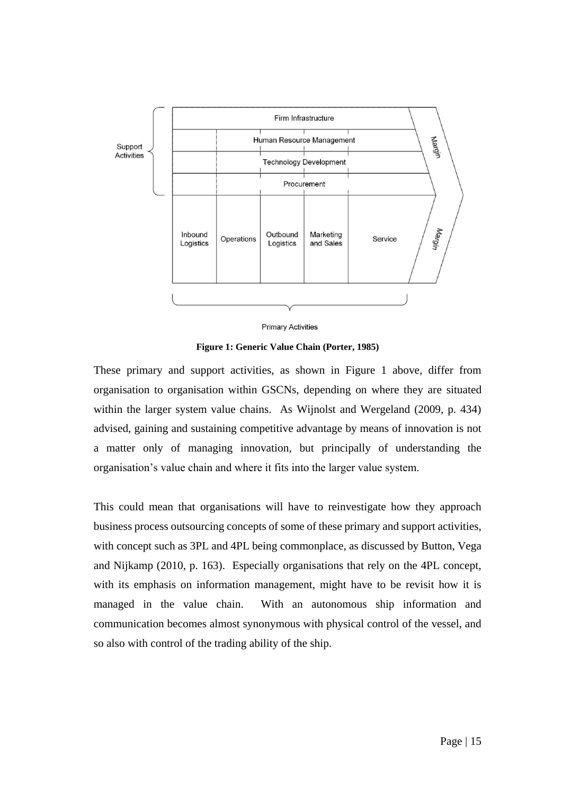

**Primary Activities** 

**Figure 1: Generic Value Chain (Porter, 1985)**

<span id="page-23-0"></span>These primary and support activities, as shown in Figure 1 above, differ from organisation to organisation within GSCNs, depending on where they are situated within the larger system value chains. As Wijnolst and Wergeland (2009, p. 434) advised, gaining and sustaining competitive advantage by means of innovation is not a matter only of managing innovation, but principally of understanding the organisation's value chain and where it fits into the larger value system.

This could mean that organisations will have to reinvestigate how they approach business process outsourcing concepts of some of these primary and support activities, with concept such as 3PL and 4PL being commonplace, as discussed by Button, Vega and Nijkamp (2010, p. 163). Especially organisations that rely on the 4PL concept, with its emphasis on information management, might have to be revisit how it is managed in the value chain. With an autonomous ship information and communication becomes almost synonymous with physical control of the vessel, and so also with control of the trading ability of the ship.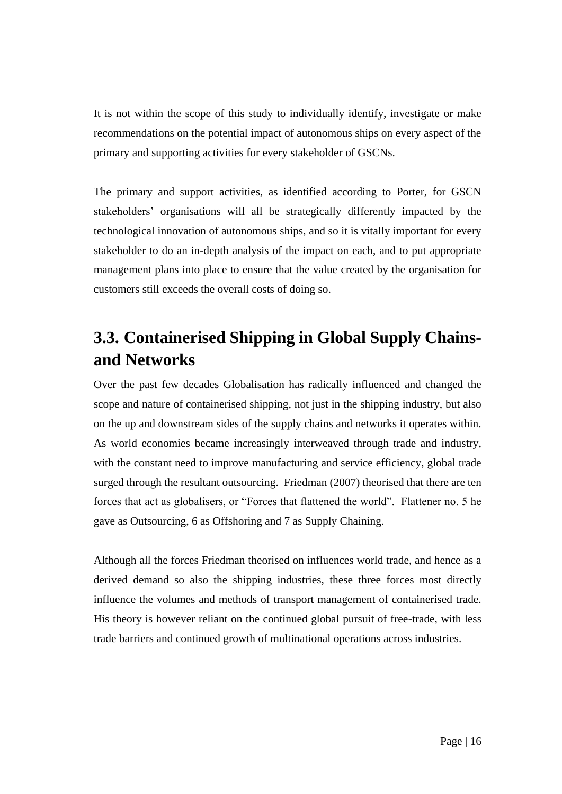It is not within the scope of this study to individually identify, investigate or make recommendations on the potential impact of autonomous ships on every aspect of the primary and supporting activities for every stakeholder of GSCNs.

The primary and support activities, as identified according to Porter, for GSCN stakeholders' organisations will all be strategically differently impacted by the technological innovation of autonomous ships, and so it is vitally important for every stakeholder to do an in-depth analysis of the impact on each, and to put appropriate management plans into place to ensure that the value created by the organisation for customers still exceeds the overall costs of doing so.

# <span id="page-24-0"></span>**3.3. Containerised Shipping in Global Supply Chainsand Networks**

Over the past few decades Globalisation has radically influenced and changed the scope and nature of containerised shipping, not just in the shipping industry, but also on the up and downstream sides of the supply chains and networks it operates within. As world economies became increasingly interweaved through trade and industry, with the constant need to improve manufacturing and service efficiency, global trade surged through the resultant outsourcing. Friedman (2007) theorised that there are ten forces that act as globalisers, or "Forces that flattened the world". Flattener no. 5 he gave as Outsourcing, 6 as Offshoring and 7 as Supply Chaining.

Although all the forces Friedman theorised on influences world trade, and hence as a derived demand so also the shipping industries, these three forces most directly influence the volumes and methods of transport management of containerised trade. His theory is however reliant on the continued global pursuit of free-trade, with less trade barriers and continued growth of multinational operations across industries.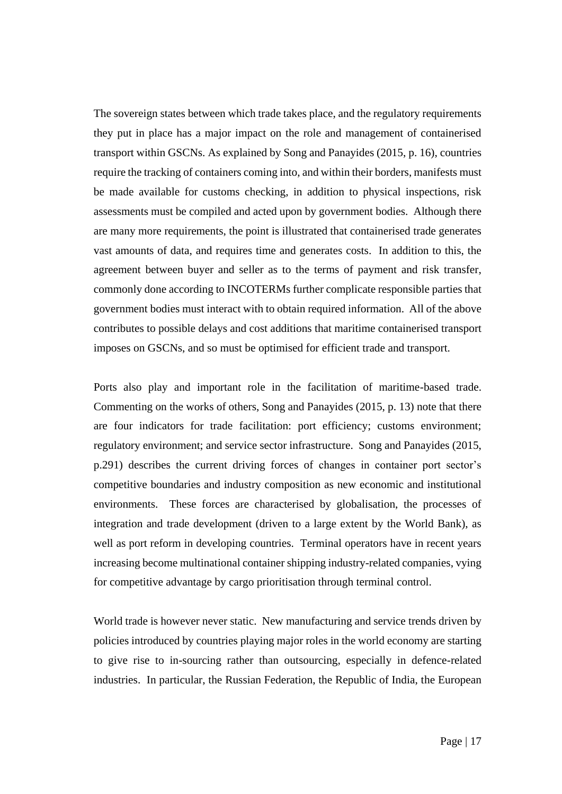The sovereign states between which trade takes place, and the regulatory requirements they put in place has a major impact on the role and management of containerised transport within GSCNs. As explained by Song and Panayides (2015, p. 16), countries require the tracking of containers coming into, and within their borders, manifests must be made available for customs checking, in addition to physical inspections, risk assessments must be compiled and acted upon by government bodies. Although there are many more requirements, the point is illustrated that containerised trade generates vast amounts of data, and requires time and generates costs. In addition to this, the agreement between buyer and seller as to the terms of payment and risk transfer, commonly done according to INCOTERMs further complicate responsible parties that government bodies must interact with to obtain required information. All of the above contributes to possible delays and cost additions that maritime containerised transport imposes on GSCNs, and so must be optimised for efficient trade and transport.

Ports also play and important role in the facilitation of maritime-based trade. Commenting on the works of others, Song and Panayides (2015, p. 13) note that there are four indicators for trade facilitation: port efficiency; customs environment; regulatory environment; and service sector infrastructure. Song and Panayides (2015, p.291) describes the current driving forces of changes in container port sector's competitive boundaries and industry composition as new economic and institutional environments. These forces are characterised by globalisation, the processes of integration and trade development (driven to a large extent by the World Bank), as well as port reform in developing countries. Terminal operators have in recent years increasing become multinational container shipping industry-related companies, vying for competitive advantage by cargo prioritisation through terminal control.

World trade is however never static. New manufacturing and service trends driven by policies introduced by countries playing major roles in the world economy are starting to give rise to in-sourcing rather than outsourcing, especially in defence-related industries. In particular, the Russian Federation, the Republic of India, the European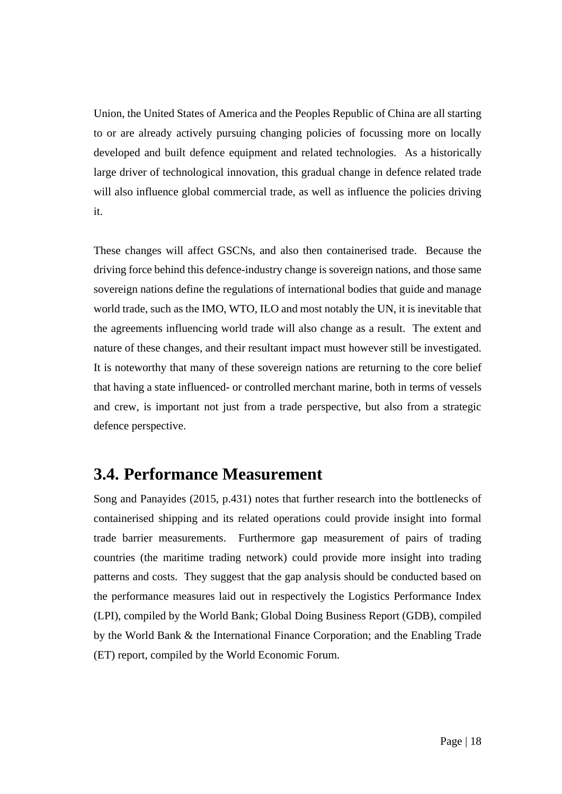Union, the United States of America and the Peoples Republic of China are all starting to or are already actively pursuing changing policies of focussing more on locally developed and built defence equipment and related technologies. As a historically large driver of technological innovation, this gradual change in defence related trade will also influence global commercial trade, as well as influence the policies driving it.

These changes will affect GSCNs, and also then containerised trade. Because the driving force behind this defence-industry change is sovereign nations, and those same sovereign nations define the regulations of international bodies that guide and manage world trade, such as the IMO, WTO, ILO and most notably the UN, it is inevitable that the agreements influencing world trade will also change as a result. The extent and nature of these changes, and their resultant impact must however still be investigated. It is noteworthy that many of these sovereign nations are returning to the core belief that having a state influenced- or controlled merchant marine, both in terms of vessels and crew, is important not just from a trade perspective, but also from a strategic defence perspective.

#### <span id="page-26-0"></span>**3.4. Performance Measurement**

Song and Panayides (2015, p.431) notes that further research into the bottlenecks of containerised shipping and its related operations could provide insight into formal trade barrier measurements. Furthermore gap measurement of pairs of trading countries (the maritime trading network) could provide more insight into trading patterns and costs. They suggest that the gap analysis should be conducted based on the performance measures laid out in respectively the Logistics Performance Index (LPI), compiled by the World Bank; Global Doing Business Report (GDB), compiled by the World Bank & the International Finance Corporation; and the Enabling Trade (ET) report, compiled by the World Economic Forum.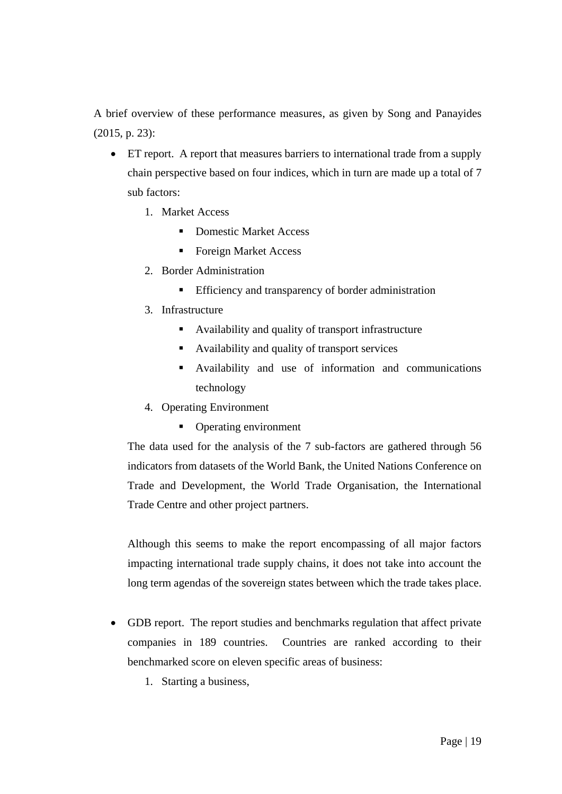A brief overview of these performance measures, as given by Song and Panayides (2015, p. 23):

- ET report. A report that measures barriers to international trade from a supply chain perspective based on four indices, which in turn are made up a total of 7 sub factors:
	- 1. Market Access
		- Domestic Market Access
		- Foreign Market Access
	- 2. Border Administration
		- **Efficiency and transparency of border administration**
	- 3. Infrastructure
		- Availability and quality of transport infrastructure
		- Availability and quality of transport services
		- Availability and use of information and communications technology
	- 4. Operating Environment
		- Operating environment

The data used for the analysis of the 7 sub-factors are gathered through 56 indicators from datasets of the World Bank, the United Nations Conference on Trade and Development, the World Trade Organisation, the International Trade Centre and other project partners.

Although this seems to make the report encompassing of all major factors impacting international trade supply chains, it does not take into account the long term agendas of the sovereign states between which the trade takes place.

- GDB report. The report studies and benchmarks regulation that affect private companies in 189 countries. Countries are ranked according to their benchmarked score on eleven specific areas of business:
	- 1. Starting a business,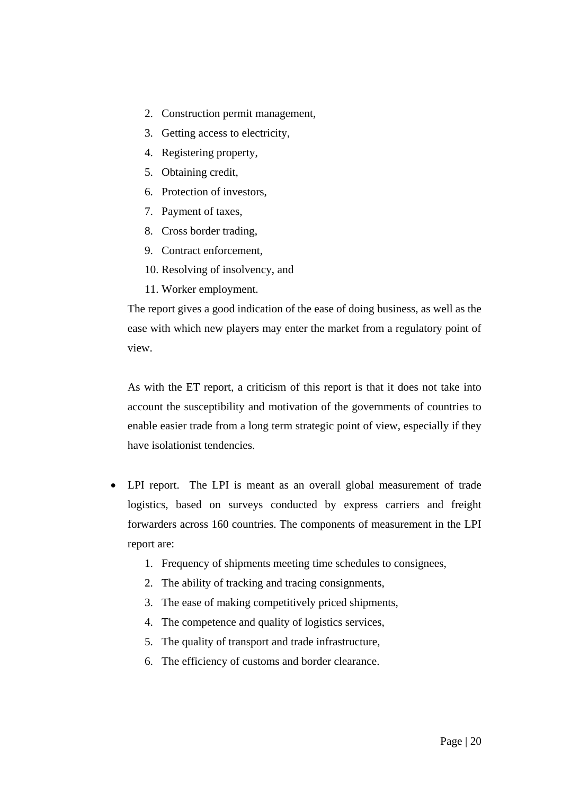- 2. Construction permit management,
- 3. Getting access to electricity,
- 4. Registering property,
- 5. Obtaining credit,
- 6. Protection of investors,
- 7. Payment of taxes,
- 8. Cross border trading,
- 9. Contract enforcement,
- 10. Resolving of insolvency, and
- 11. Worker employment.

The report gives a good indication of the ease of doing business, as well as the ease with which new players may enter the market from a regulatory point of view.

As with the ET report, a criticism of this report is that it does not take into account the susceptibility and motivation of the governments of countries to enable easier trade from a long term strategic point of view, especially if they have isolationist tendencies.

- LPI report. The LPI is meant as an overall global measurement of trade logistics, based on surveys conducted by express carriers and freight forwarders across 160 countries. The components of measurement in the LPI report are:
	- 1. Frequency of shipments meeting time schedules to consignees,
	- 2. The ability of tracking and tracing consignments,
	- 3. The ease of making competitively priced shipments,
	- 4. The competence and quality of logistics services,
	- 5. The quality of transport and trade infrastructure,
	- 6. The efficiency of customs and border clearance.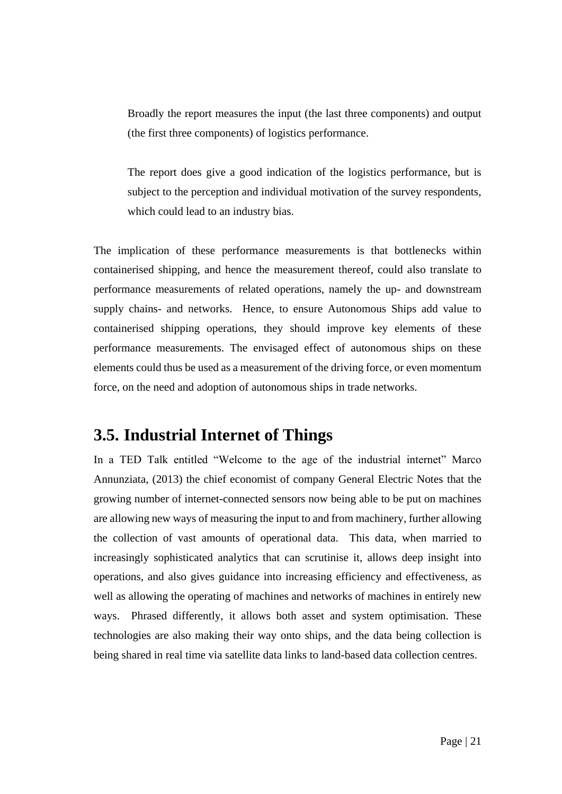Broadly the report measures the input (the last three components) and output (the first three components) of logistics performance.

The report does give a good indication of the logistics performance, but is subject to the perception and individual motivation of the survey respondents, which could lead to an industry bias.

The implication of these performance measurements is that bottlenecks within containerised shipping, and hence the measurement thereof, could also translate to performance measurements of related operations, namely the up- and downstream supply chains- and networks. Hence, to ensure Autonomous Ships add value to containerised shipping operations, they should improve key elements of these performance measurements. The envisaged effect of autonomous ships on these elements could thus be used as a measurement of the driving force, or even momentum force, on the need and adoption of autonomous ships in trade networks.

#### <span id="page-29-0"></span>**3.5. Industrial Internet of Things**

In a TED Talk entitled "Welcome to the age of the industrial internet" Marco Annunziata, (2013) the chief economist of company General Electric Notes that the growing number of internet-connected sensors now being able to be put on machines are allowing new ways of measuring the input to and from machinery, further allowing the collection of vast amounts of operational data. This data, when married to increasingly sophisticated analytics that can scrutinise it, allows deep insight into operations, and also gives guidance into increasing efficiency and effectiveness, as well as allowing the operating of machines and networks of machines in entirely new ways. Phrased differently, it allows both asset and system optimisation. These technologies are also making their way onto ships, and the data being collection is being shared in real time via satellite data links to land-based data collection centres.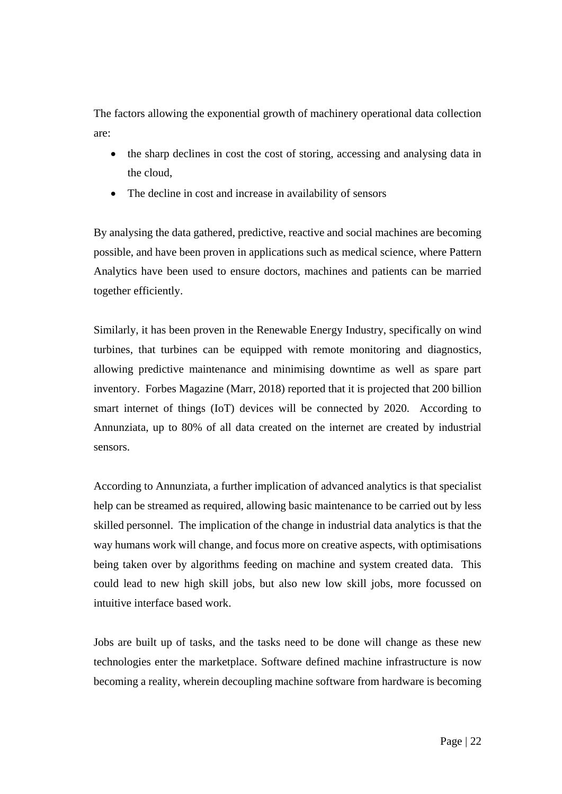The factors allowing the exponential growth of machinery operational data collection are:

- the sharp declines in cost the cost of storing, accessing and analysing data in the cloud,
- The decline in cost and increase in availability of sensors

By analysing the data gathered, predictive, reactive and social machines are becoming possible, and have been proven in applications such as medical science, where Pattern Analytics have been used to ensure doctors, machines and patients can be married together efficiently.

Similarly, it has been proven in the Renewable Energy Industry, specifically on wind turbines, that turbines can be equipped with remote monitoring and diagnostics, allowing predictive maintenance and minimising downtime as well as spare part inventory. Forbes Magazine (Marr, 2018) reported that it is projected that 200 billion smart internet of things (IoT) devices will be connected by 2020. According to Annunziata, up to 80% of all data created on the internet are created by industrial sensors.

According to Annunziata, a further implication of advanced analytics is that specialist help can be streamed as required, allowing basic maintenance to be carried out by less skilled personnel. The implication of the change in industrial data analytics is that the way humans work will change, and focus more on creative aspects, with optimisations being taken over by algorithms feeding on machine and system created data. This could lead to new high skill jobs, but also new low skill jobs, more focussed on intuitive interface based work.

Jobs are built up of tasks, and the tasks need to be done will change as these new technologies enter the marketplace. Software defined machine infrastructure is now becoming a reality, wherein decoupling machine software from hardware is becoming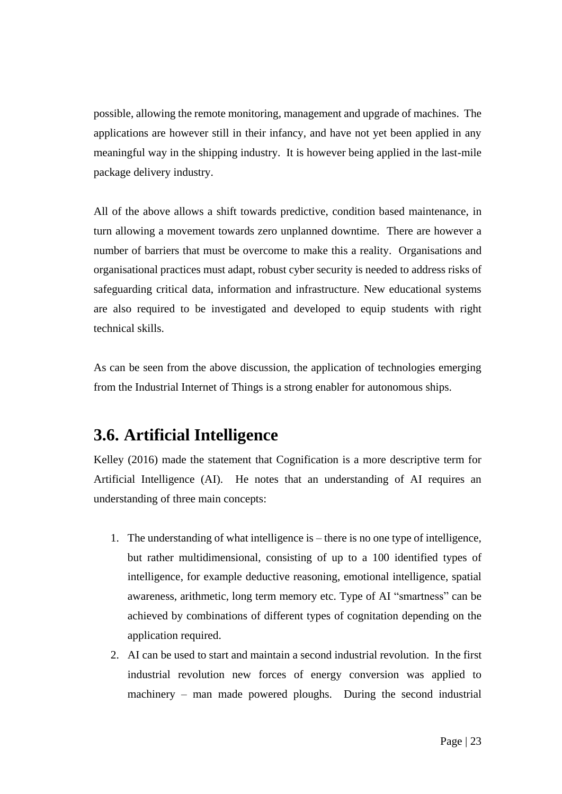possible, allowing the remote monitoring, management and upgrade of machines. The applications are however still in their infancy, and have not yet been applied in any meaningful way in the shipping industry. It is however being applied in the last-mile package delivery industry.

All of the above allows a shift towards predictive, condition based maintenance, in turn allowing a movement towards zero unplanned downtime. There are however a number of barriers that must be overcome to make this a reality. Organisations and organisational practices must adapt, robust cyber security is needed to address risks of safeguarding critical data, information and infrastructure. New educational systems are also required to be investigated and developed to equip students with right technical skills.

As can be seen from the above discussion, the application of technologies emerging from the Industrial Internet of Things is a strong enabler for autonomous ships.

## <span id="page-31-0"></span>**3.6. Artificial Intelligence**

Kelley (2016) made the statement that Cognification is a more descriptive term for Artificial Intelligence (AI). He notes that an understanding of AI requires an understanding of three main concepts:

- 1. The understanding of what intelligence is there is no one type of intelligence, but rather multidimensional, consisting of up to a 100 identified types of intelligence, for example deductive reasoning, emotional intelligence, spatial awareness, arithmetic, long term memory etc. Type of AI "smartness" can be achieved by combinations of different types of cognitation depending on the application required.
- 2. AI can be used to start and maintain a second industrial revolution. In the first industrial revolution new forces of energy conversion was applied to machinery – man made powered ploughs. During the second industrial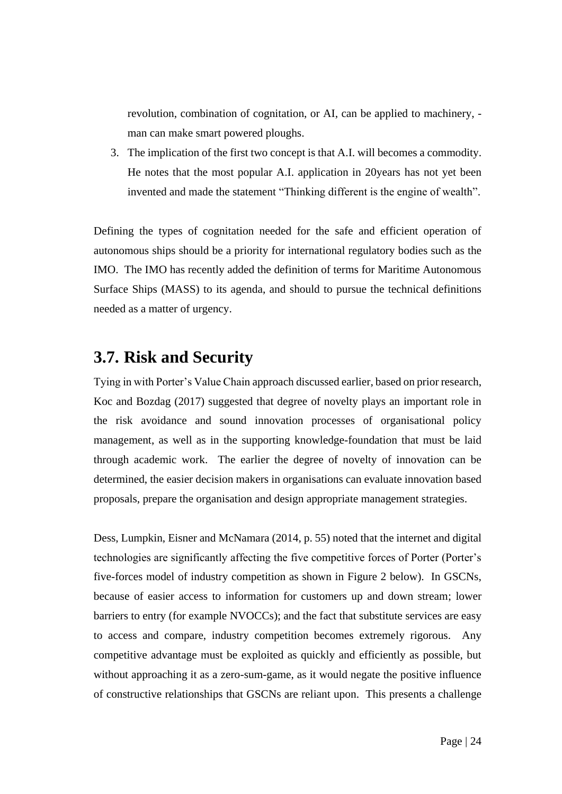revolution, combination of cognitation, or AI, can be applied to machinery, man can make smart powered ploughs.

3. The implication of the first two concept is that A.I. will becomes a commodity. He notes that the most popular A.I. application in 20years has not yet been invented and made the statement "Thinking different is the engine of wealth".

Defining the types of cognitation needed for the safe and efficient operation of autonomous ships should be a priority for international regulatory bodies such as the IMO. The IMO has recently added the definition of terms for Maritime Autonomous Surface Ships (MASS) to its agenda, and should to pursue the technical definitions needed as a matter of urgency.

#### <span id="page-32-0"></span>**3.7. Risk and Security**

Tying in with Porter's Value Chain approach discussed earlier, based on prior research, Koc and Bozdag (2017) suggested that degree of novelty plays an important role in the risk avoidance and sound innovation processes of organisational policy management, as well as in the supporting knowledge-foundation that must be laid through academic work. The earlier the degree of novelty of innovation can be determined, the easier decision makers in organisations can evaluate innovation based proposals, prepare the organisation and design appropriate management strategies.

Dess, Lumpkin, Eisner and McNamara (2014, p. 55) noted that the internet and digital technologies are significantly affecting the five competitive forces of Porter (Porter's five-forces model of industry competition as shown in Figure 2 below). In GSCNs, because of easier access to information for customers up and down stream; lower barriers to entry (for example NVOCCs); and the fact that substitute services are easy to access and compare, industry competition becomes extremely rigorous. Any competitive advantage must be exploited as quickly and efficiently as possible, but without approaching it as a zero-sum-game, as it would negate the positive influence of constructive relationships that GSCNs are reliant upon. This presents a challenge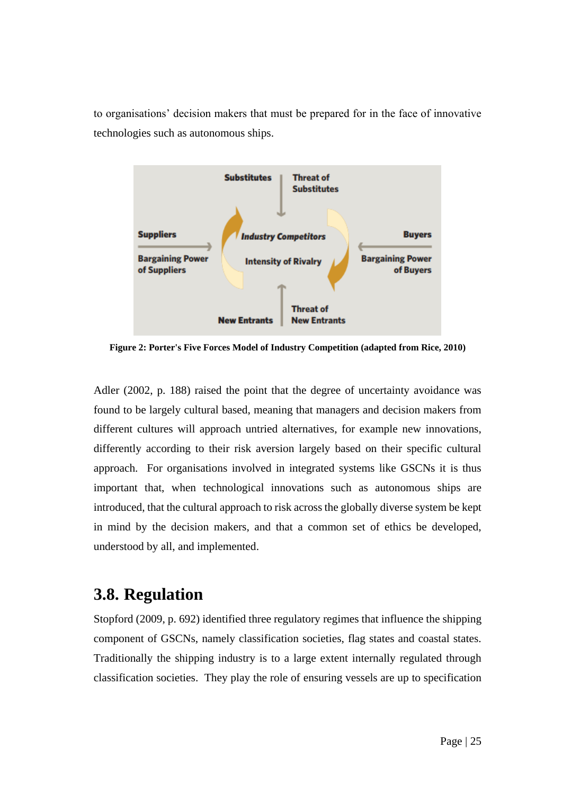to organisations' decision makers that must be prepared for in the face of innovative technologies such as autonomous ships.



<span id="page-33-1"></span>**Figure 2: Porter's Five Forces Model of Industry Competition (adapted from Rice, 2010)**

Adler (2002, p. 188) raised the point that the degree of uncertainty avoidance was found to be largely cultural based, meaning that managers and decision makers from different cultures will approach untried alternatives, for example new innovations, differently according to their risk aversion largely based on their specific cultural approach. For organisations involved in integrated systems like GSCNs it is thus important that, when technological innovations such as autonomous ships are introduced, that the cultural approach to risk across the globally diverse system be kept in mind by the decision makers, and that a common set of ethics be developed, understood by all, and implemented.

#### <span id="page-33-0"></span>**3.8. Regulation**

Stopford (2009, p. 692) identified three regulatory regimes that influence the shipping component of GSCNs, namely classification societies, flag states and coastal states. Traditionally the shipping industry is to a large extent internally regulated through classification societies. They play the role of ensuring vessels are up to specification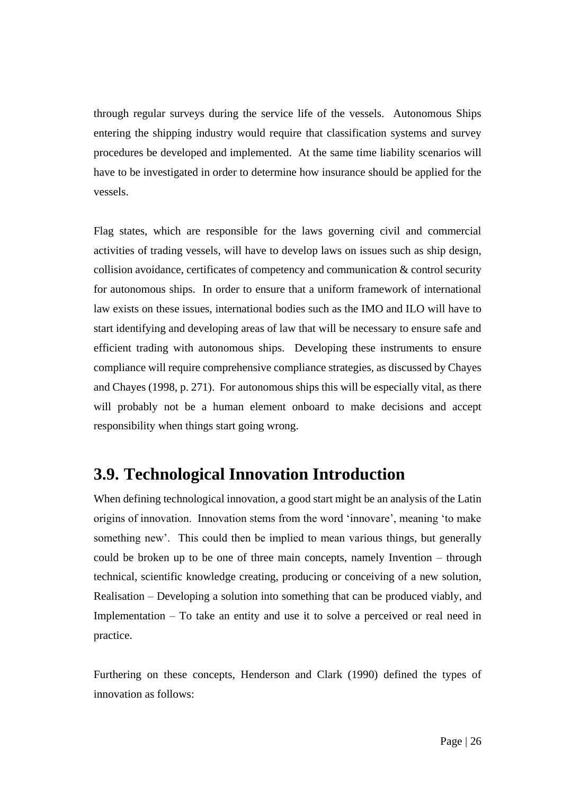through regular surveys during the service life of the vessels. Autonomous Ships entering the shipping industry would require that classification systems and survey procedures be developed and implemented. At the same time liability scenarios will have to be investigated in order to determine how insurance should be applied for the vessels.

Flag states, which are responsible for the laws governing civil and commercial activities of trading vessels, will have to develop laws on issues such as ship design, collision avoidance, certificates of competency and communication & control security for autonomous ships. In order to ensure that a uniform framework of international law exists on these issues, international bodies such as the IMO and ILO will have to start identifying and developing areas of law that will be necessary to ensure safe and efficient trading with autonomous ships. Developing these instruments to ensure compliance will require comprehensive compliance strategies, as discussed by Chayes and Chayes (1998, p. 271). For autonomous ships this will be especially vital, as there will probably not be a human element onboard to make decisions and accept responsibility when things start going wrong.

#### <span id="page-34-0"></span>**3.9. Technological Innovation Introduction**

When defining technological innovation, a good start might be an analysis of the Latin origins of innovation. Innovation stems from the word 'innovare', meaning 'to make something new'. This could then be implied to mean various things, but generally could be broken up to be one of three main concepts, namely Invention – through technical, scientific knowledge creating, producing or conceiving of a new solution, Realisation – Developing a solution into something that can be produced viably, and Implementation – To take an entity and use it to solve a perceived or real need in practice.

Furthering on these concepts, Henderson and Clark (1990) defined the types of innovation as follows: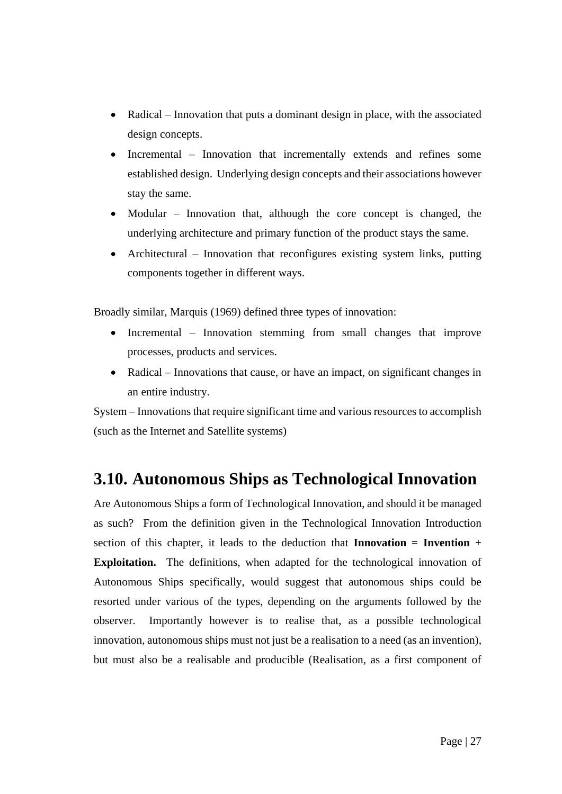- Radical Innovation that puts a dominant design in place, with the associated design concepts.
- Incremental Innovation that incrementally extends and refines some established design. Underlying design concepts and their associations however stay the same.
- Modular Innovation that, although the core concept is changed, the underlying architecture and primary function of the product stays the same.
- Architectural Innovation that reconfigures existing system links, putting components together in different ways.

Broadly similar, Marquis (1969) defined three types of innovation:

- Incremental Innovation stemming from small changes that improve processes, products and services.
- Radical Innovations that cause, or have an impact, on significant changes in an entire industry.

System – Innovations that require significant time and various resources to accomplish (such as the Internet and Satellite systems)

## <span id="page-35-0"></span>**3.10. Autonomous Ships as Technological Innovation**

Are Autonomous Ships a form of Technological Innovation, and should it be managed as such? From the definition given in the Technological Innovation Introduction section of this chapter, it leads to the deduction that **Innovation = Invention + Exploitation.** The definitions, when adapted for the technological innovation of Autonomous Ships specifically, would suggest that autonomous ships could be resorted under various of the types, depending on the arguments followed by the observer. Importantly however is to realise that, as a possible technological innovation, autonomous ships must not just be a realisation to a need (as an invention), but must also be a realisable and producible (Realisation, as a first component of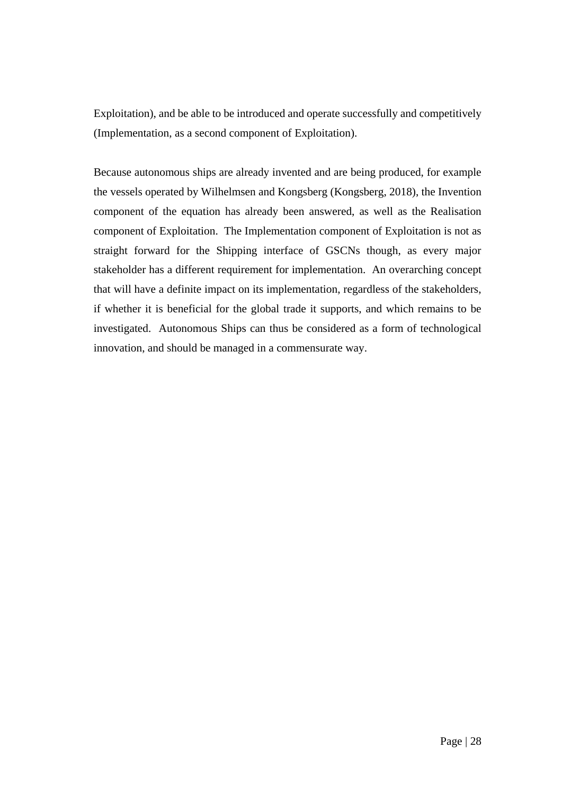Exploitation), and be able to be introduced and operate successfully and competitively (Implementation, as a second component of Exploitation).

Because autonomous ships are already invented and are being produced, for example the vessels operated by Wilhelmsen and Kongsberg (Kongsberg, 2018), the Invention component of the equation has already been answered, as well as the Realisation component of Exploitation. The Implementation component of Exploitation is not as straight forward for the Shipping interface of GSCNs though, as every major stakeholder has a different requirement for implementation. An overarching concept that will have a definite impact on its implementation, regardless of the stakeholders, if whether it is beneficial for the global trade it supports, and which remains to be investigated. Autonomous Ships can thus be considered as a form of technological innovation, and should be managed in a commensurate way.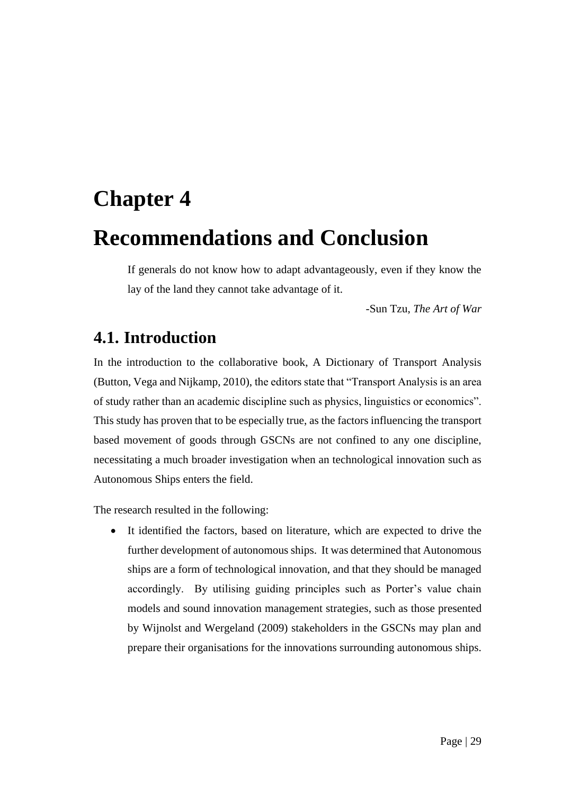# <span id="page-37-1"></span><span id="page-37-0"></span>**Chapter 4 Recommendations and Conclusion**

If generals do not know how to adapt advantageously, even if they know the lay of the land they cannot take advantage of it.

-Sun Tzu, *The Art of War*

## <span id="page-37-2"></span>**4.1. Introduction**

In the introduction to the collaborative book, A Dictionary of Transport Analysis (Button, Vega and Nijkamp, 2010), the editors state that "Transport Analysis is an area of study rather than an academic discipline such as physics, linguistics or economics". This study has proven that to be especially true, as the factors influencing the transport based movement of goods through GSCNs are not confined to any one discipline, necessitating a much broader investigation when an technological innovation such as Autonomous Ships enters the field.

The research resulted in the following:

 It identified the factors, based on literature, which are expected to drive the further development of autonomous ships. It was determined that Autonomous ships are a form of technological innovation, and that they should be managed accordingly. By utilising guiding principles such as Porter's value chain models and sound innovation management strategies, such as those presented by Wijnolst and Wergeland (2009) stakeholders in the GSCNs may plan and prepare their organisations for the innovations surrounding autonomous ships.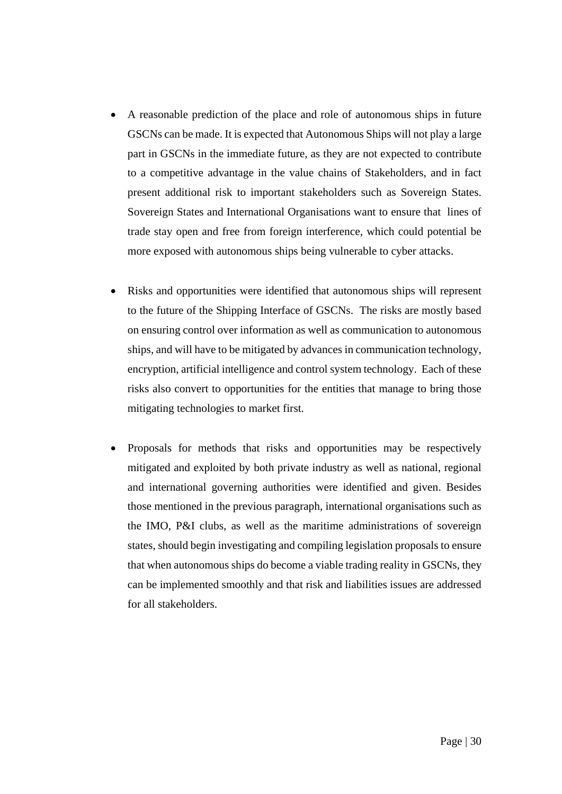- A reasonable prediction of the place and role of autonomous ships in future GSCNs can be made. It is expected that Autonomous Ships will not play a large part in GSCNs in the immediate future, as they are not expected to contribute to a competitive advantage in the value chains of Stakeholders, and in fact present additional risk to important stakeholders such as Sovereign States. Sovereign States and International Organisations want to ensure that lines of trade stay open and free from foreign interference, which could potential be more exposed with autonomous ships being vulnerable to cyber attacks.
- Risks and opportunities were identified that autonomous ships will represent to the future of the Shipping Interface of GSCNs. The risks are mostly based on ensuring control over information as well as communication to autonomous ships, and will have to be mitigated by advances in communication technology, encryption, artificial intelligence and control system technology. Each of these risks also convert to opportunities for the entities that manage to bring those mitigating technologies to market first.
- Proposals for methods that risks and opportunities may be respectively mitigated and exploited by both private industry as well as national, regional and international governing authorities were identified and given. Besides those mentioned in the previous paragraph, international organisations such as the IMO, P&I clubs, as well as the maritime administrations of sovereign states, should begin investigating and compiling legislation proposals to ensure that when autonomous ships do become a viable trading reality in GSCNs, they can be implemented smoothly and that risk and liabilities issues are addressed for all stakeholders.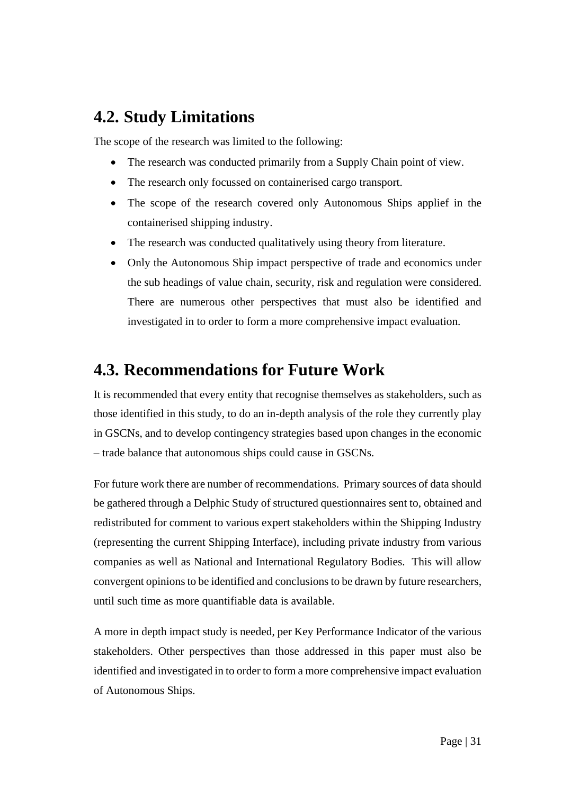### <span id="page-39-0"></span>**4.2. Study Limitations**

The scope of the research was limited to the following:

- The research was conducted primarily from a Supply Chain point of view.
- The research only focussed on containerised cargo transport.
- The scope of the research covered only Autonomous Ships applief in the containerised shipping industry.
- The research was conducted qualitatively using theory from literature.
- Only the Autonomous Ship impact perspective of trade and economics under the sub headings of value chain, security, risk and regulation were considered. There are numerous other perspectives that must also be identified and investigated in to order to form a more comprehensive impact evaluation.

#### <span id="page-39-1"></span>**4.3. Recommendations for Future Work**

It is recommended that every entity that recognise themselves as stakeholders, such as those identified in this study, to do an in-depth analysis of the role they currently play in GSCNs, and to develop contingency strategies based upon changes in the economic – trade balance that autonomous ships could cause in GSCNs.

For future work there are number of recommendations. Primary sources of data should be gathered through a Delphic Study of structured questionnaires sent to, obtained and redistributed for comment to various expert stakeholders within the Shipping Industry (representing the current Shipping Interface), including private industry from various companies as well as National and International Regulatory Bodies. This will allow convergent opinions to be identified and conclusions to be drawn by future researchers, until such time as more quantifiable data is available.

A more in depth impact study is needed, per Key Performance Indicator of the various stakeholders. Other perspectives than those addressed in this paper must also be identified and investigated in to order to form a more comprehensive impact evaluation of Autonomous Ships.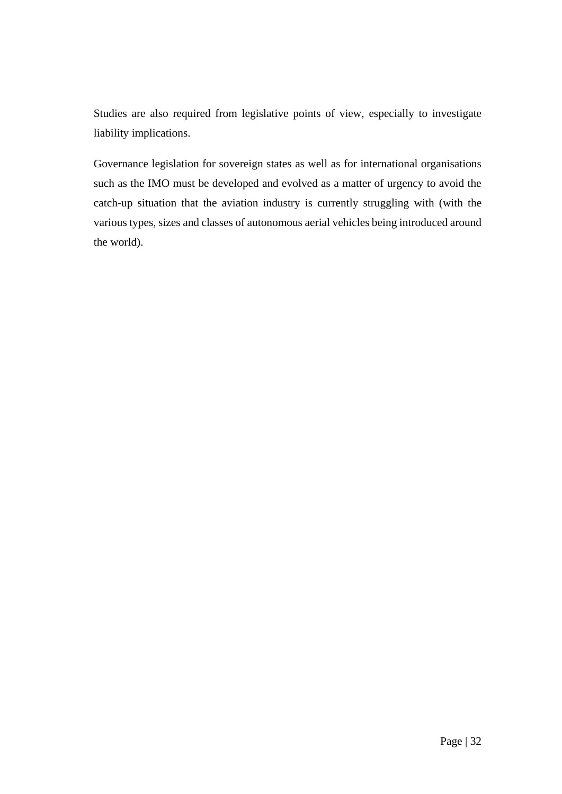Studies are also required from legislative points of view, especially to investigate liability implications.

Governance legislation for sovereign states as well as for international organisations such as the IMO must be developed and evolved as a matter of urgency to avoid the catch-up situation that the aviation industry is currently struggling with (with the various types, sizes and classes of autonomous aerial vehicles being introduced around the world).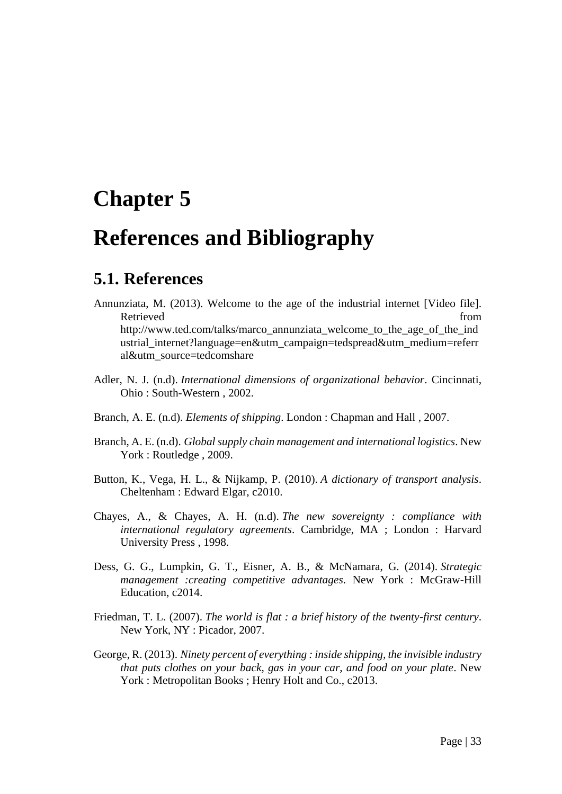# <span id="page-41-0"></span>**Chapter 5**

# <span id="page-41-1"></span>**References and Bibliography**

#### <span id="page-41-2"></span>**5.1. References**

- Annunziata, M. (2013). Welcome to the age of the industrial internet [Video file]. Retrieved from the settlement of the settlement of the settlement of the settlement of the settlement of the set http://www.ted.com/talks/marco\_annunziata\_welcome\_to\_the\_age\_of\_the\_ind ustrial\_internet?language=en&utm\_campaign=tedspread&utm\_medium=referr al&utm\_source=tedcomshare
- Adler, N. J. (n.d). *International dimensions of organizational behavior*. Cincinnati, Ohio : South-Western , 2002.
- Branch, A. E. (n.d). *Elements of shipping*. London : Chapman and Hall , 2007.
- Branch, A. E. (n.d). *Global supply chain management and international logistics*. New York : Routledge , 2009.
- Button, K., Vega, H. L., & Nijkamp, P. (2010). *A dictionary of transport analysis*. Cheltenham : Edward Elgar, c2010.
- Chayes, A., & Chayes, A. H. (n.d). *The new sovereignty : compliance with international regulatory agreements*. Cambridge, MA ; London : Harvard University Press , 1998.
- Dess, G. G., Lumpkin, G. T., Eisner, A. B., & McNamara, G. (2014). *Strategic management :creating competitive advantages*. New York : McGraw-Hill Education, c2014.
- Friedman, T. L. (2007). *The world is flat : a brief history of the twenty-first century*. New York, NY : Picador, 2007.
- George, R. (2013). *Ninety percent of everything : inside shipping, the invisible industry that puts clothes on your back, gas in your car, and food on your plate*. New York : Metropolitan Books ; Henry Holt and Co., c2013.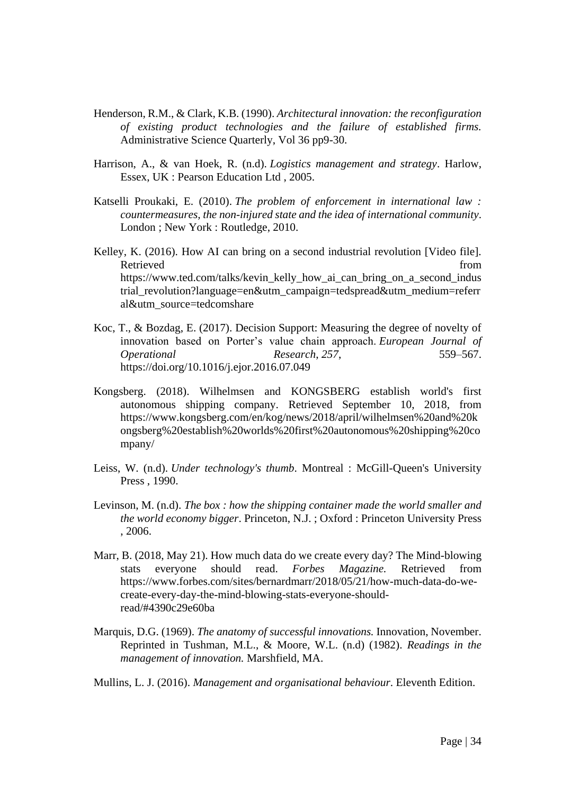- Henderson, R.M., & Clark, K.B. (1990). *Architectural innovation: the reconfiguration of existing product technologies and the failure of established firms.* Administrative Science Quarterly, Vol 36 pp9-30.
- Harrison, A., & van Hoek, R. (n.d). *Logistics management and strategy*. Harlow, Essex, UK : Pearson Education Ltd , 2005.
- Katselli Proukaki, E. (2010). *The problem of enforcement in international law : countermeasures, the non-injured state and the idea of international community*. London ; New York : Routledge, 2010.
- Kelley, K. (2016). How AI can bring on a second industrial revolution [Video file]. Retrieved from the set of the set of the set of the set of the set of the set of the set of the set of the set of the set of the set of the set of the set of the set of the set of the set of the set of the set of the set o https://www.ted.com/talks/kevin\_kelly\_how\_ai\_can\_bring\_on\_a\_second\_indus trial\_revolution?language=en&utm\_campaign=tedspread&utm\_medium=referr al&utm\_source=tedcomshare
- Koc, T., & Bozdag, E. (2017). Decision Support: Measuring the degree of novelty of innovation based on Porter's value chain approach. *European Journal of Operational Research*, *257*, 559–567. https://doi.org/10.1016/j.ejor.2016.07.049
- Kongsberg. (2018). Wilhelmsen and KONGSBERG establish world's first autonomous shipping company. Retrieved September 10, 2018, from https://www.kongsberg.com/en/kog/news/2018/april/wilhelmsen%20and%20k ongsberg%20establish%20worlds%20first%20autonomous%20shipping%20co mpany/
- Leiss, W. (n.d). *Under technology's thumb*. Montreal : McGill-Queen's University Press , 1990.
- Levinson, M. (n.d). *The box : how the shipping container made the world smaller and the world economy bigger*. Princeton, N.J. ; Oxford : Princeton University Press , 2006.
- Marr, B. (2018, May 21). How much data do we create every day? The Mind-blowing stats everyone should read. *Forbes Magazine.* Retrieved from https://www.forbes.com/sites/bernardmarr/2018/05/21/how-much-data-do-wecreate-every-day-the-mind-blowing-stats-everyone-shouldread/#4390c29e60ba
- Marquis, D.G. (1969). *The anatomy of successful innovations.* Innovation, November. Reprinted in Tushman, M.L., & Moore, W.L. (n.d) (1982). *Readings in the management of innovation.* Marshfield, MA.

Mullins, L. J. (2016). *Management and organisational behaviour*. Eleventh Edition.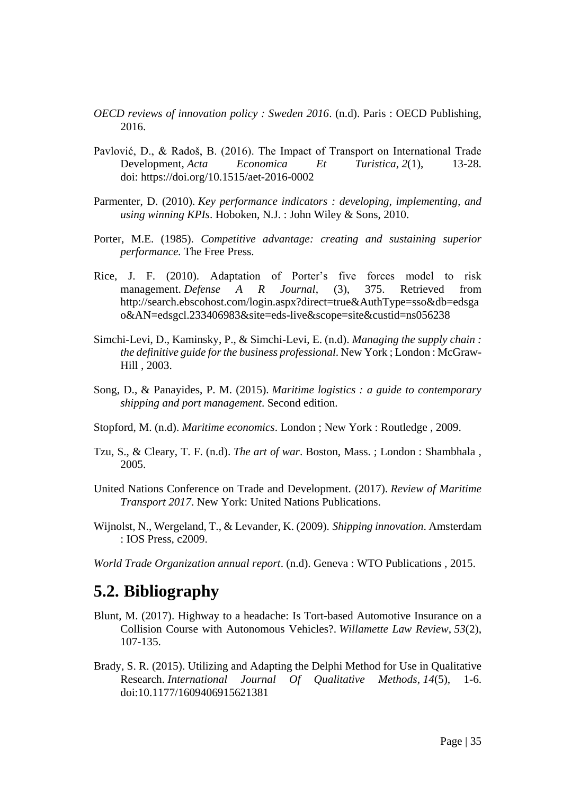- *OECD reviews of innovation policy : Sweden 2016*. (n.d). Paris : OECD Publishing, 2016.
- Pavlović, D., & Radoš, B. (2016). The Impact of Transport on International Trade Development, *Acta Economica Et Turistica*, *2*(1), 13-28. doi: https://doi.org/10.1515/aet-2016-0002
- Parmenter, D. (2010). *Key performance indicators : developing, implementing, and using winning KPIs*. Hoboken, N.J. : John Wiley & Sons, 2010.
- Porter, M.E. (1985). *Competitive advantage: creating and sustaining superior performance.* The Free Press.
- Rice, J. F. (2010). Adaptation of Porter's five forces model to risk management. *Defense A R Journal*, (3), 375. Retrieved from http://search.ebscohost.com/login.aspx?direct=true&AuthType=sso&db=edsga o&AN=edsgcl.233406983&site=eds-live&scope=site&custid=ns056238
- Simchi-Levi, D., Kaminsky, P., & Simchi-Levi, E. (n.d). *Managing the supply chain : the definitive guide for the business professional*. New York ; London : McGraw-Hill , 2003.
- Song, D., & Panayides, P. M. (2015). *Maritime logistics : a guide to contemporary shipping and port management*. Second edition.
- Stopford, M. (n.d). *Maritime economics*. London ; New York : Routledge , 2009.
- Tzu, S., & Cleary, T. F. (n.d). *The art of war*. Boston, Mass. ; London : Shambhala , 2005.
- United Nations Conference on Trade and Development. (2017). *Review of Maritime Transport 2017*. New York: United Nations Publications.
- Wijnolst, N., Wergeland, T., & Levander, K. (2009). *Shipping innovation*. Amsterdam : IOS Press, c2009.
- *World Trade Organization annual report*. (n.d). Geneva : WTO Publications , 2015.

#### <span id="page-43-0"></span>**5.2. Bibliography**

- Blunt, M. (2017). Highway to a headache: Is Tort-based Automotive Insurance on a Collision Course with Autonomous Vehicles?. *Willamette Law Review*, *53*(2), 107-135.
- Brady, S. R. (2015). Utilizing and Adapting the Delphi Method for Use in Qualitative Research. *International Journal Of Qualitative Methods*, *14*(5), 1-6. doi:10.1177/1609406915621381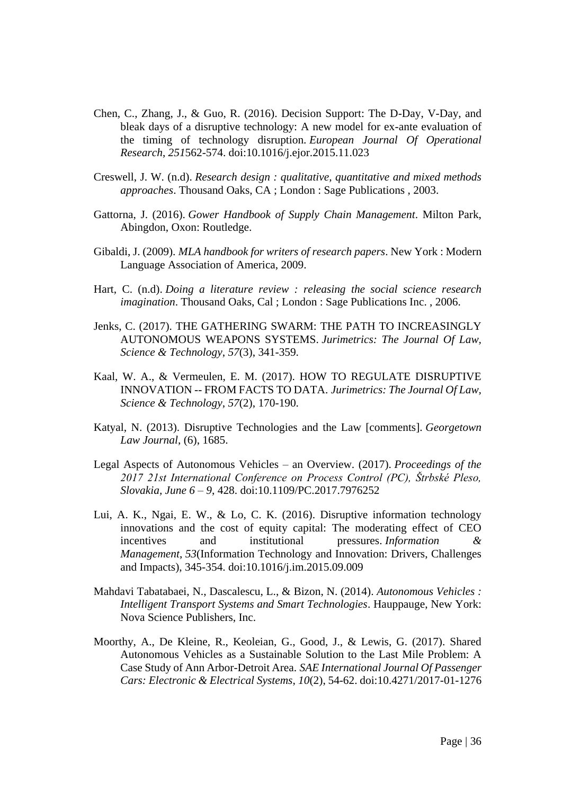- Chen, C., Zhang, J., & Guo, R. (2016). Decision Support: The D-Day, V-Day, and bleak days of a disruptive technology: A new model for ex-ante evaluation of the timing of technology disruption. *European Journal Of Operational Research*, *251*562-574. doi:10.1016/j.ejor.2015.11.023
- Creswell, J. W. (n.d). *Research design : qualitative, quantitative and mixed methods approaches*. Thousand Oaks, CA ; London : Sage Publications , 2003.
- Gattorna, J. (2016). *Gower Handbook of Supply Chain Management*. Milton Park, Abingdon, Oxon: Routledge.
- Gibaldi, J. (2009). *MLA handbook for writers of research papers*. New York : Modern Language Association of America, 2009.
- Hart, C. (n.d). *Doing a literature review : releasing the social science research imagination*. Thousand Oaks, Cal ; London : Sage Publications Inc. , 2006.
- Jenks, C. (2017). THE GATHERING SWARM: THE PATH TO INCREASINGLY AUTONOMOUS WEAPONS SYSTEMS. *Jurimetrics: The Journal Of Law, Science & Technology*, *57*(3), 341-359.
- Kaal, W. A., & Vermeulen, E. M. (2017). HOW TO REGULATE DISRUPTIVE INNOVATION -- FROM FACTS TO DATA. *Jurimetrics: The Journal Of Law, Science & Technology*, *57*(2), 170-190.
- Katyal, N. (2013). Disruptive Technologies and the Law [comments]. *Georgetown Law Journal*, (6), 1685.
- Legal Aspects of Autonomous Vehicles an Overview. (2017). *Proceedings of the 2017 21st International Conference on Process Control (PC), Štrbské Pleso, Slovakia, June 6 – 9*, 428. doi:10.1109/PC.2017.7976252
- Lui, A. K., Ngai, E. W., & Lo, C. K. (2016). Disruptive information technology innovations and the cost of equity capital: The moderating effect of CEO incentives and institutional pressures. *Information & Management*, *53*(Information Technology and Innovation: Drivers, Challenges and Impacts), 345-354. doi:10.1016/j.im.2015.09.009
- Mahdavi Tabatabaei, N., Dascalescu, L., & Bizon, N. (2014). *Autonomous Vehicles : Intelligent Transport Systems and Smart Technologies*. Hauppauge, New York: Nova Science Publishers, Inc.
- Moorthy, A., De Kleine, R., Keoleian, G., Good, J., & Lewis, G. (2017). Shared Autonomous Vehicles as a Sustainable Solution to the Last Mile Problem: A Case Study of Ann Arbor-Detroit Area. *SAE International Journal Of Passenger Cars: Electronic & Electrical Systems*, *10*(2), 54-62. doi:10.4271/2017-01-1276